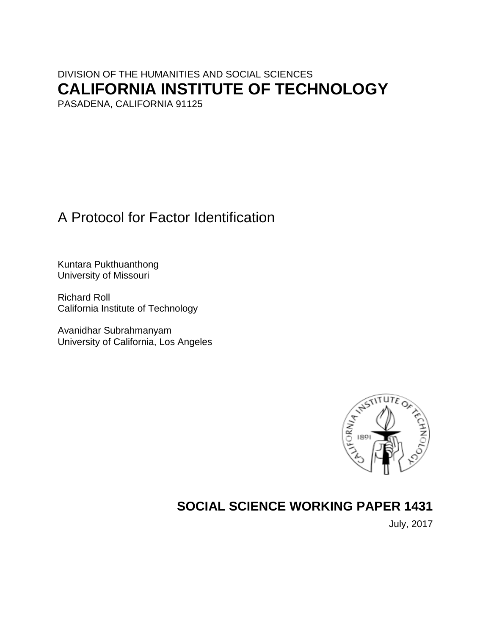# DIVISION OF THE HUMANITIES AND SOCIAL SCIENCES **CALIFORNIA INSTITUTE OF TECHNOLOGY** PASADENA, CALIFORNIA 91125

A Protocol for Factor Identification

Kuntara Pukthuanthong University of Missouri

Richard Roll California Institute of Technology

Avanidhar Subrahmanyam University of California, Los Angeles



# **SOCIAL SCIENCE WORKING PAPER 1431**

July, 2017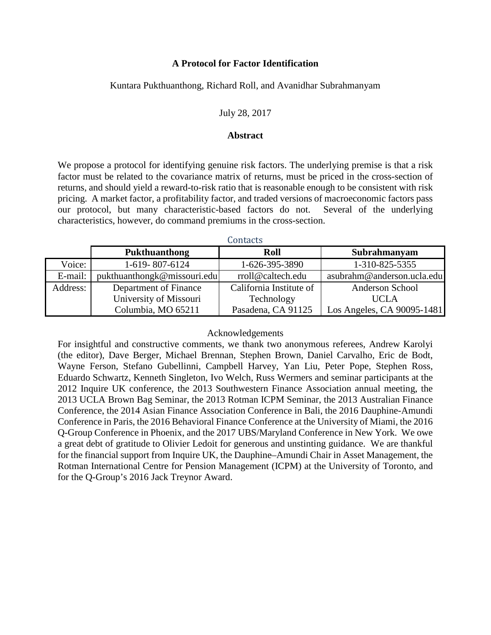## **A Protocol for Factor Identification**

## Kuntara Pukthuanthong, Richard Roll, and Avanidhar Subrahmanyam

### July 28, 2017

#### **Abstract**

We propose a protocol for identifying genuine risk factors. The underlying premise is that a risk factor must be related to the covariance matrix of returns, must be priced in the cross-section of returns, and should yield a reward-to-risk ratio that is reasonable enough to be consistent with risk pricing. A market factor, a profitability factor, and traded versions of macroeconomic factors pass our protocol, but many characteristic-based factors do not. Several of the underlying characteristics, however, do command premiums in the cross-section.

|          |                             | GUILLACLO               |                            |
|----------|-----------------------------|-------------------------|----------------------------|
|          | <b>Pukthuanthong</b>        | Roll                    | Subrahmanyam               |
| Voice:   | 1-619-807-6124              | 1-626-395-3890          | 1-310-825-5355             |
| E-mail:  | pukthuanthongk@missouri.edu | rroll@caltech.edu       | asubrahm@anderson.ucla.edu |
| Address: | Department of Finance       | California Institute of | Anderson School            |
|          | University of Missouri      | Technology              | <b>UCLA</b>                |
|          | Columbia, MO 65211          | Pasadena, CA 91125      | Los Angeles, CA 90095-1481 |

Contacts

### Acknowledgements

For insightful and constructive comments, we thank two anonymous referees, Andrew Karolyi (the editor), Dave Berger, Michael Brennan, Stephen Brown, Daniel Carvalho, Eric de Bodt, Wayne Ferson, Stefano Gubellinni, Campbell Harvey, Yan Liu, Peter Pope, Stephen Ross, Eduardo Schwartz, Kenneth Singleton, Ivo Welch, Russ Wermers and seminar participants at the 2012 Inquire UK conference, the 2013 Southwestern Finance Association annual meeting, the 2013 UCLA Brown Bag Seminar, the 2013 Rotman ICPM Seminar, the 2013 Australian Finance Conference, the 2014 Asian Finance Association Conference in Bali, the 2016 Dauphine-Amundi Conference in Paris, the 2016 Behavioral Finance Conference at the University of Miami, the 2016 Q-Group Conference in Phoenix, and the 2017 UBS/Maryland Conference in New York. We owe a great debt of gratitude to Olivier Ledoit for generous and unstinting guidance. We are thankful for the financial support from Inquire UK, the Dauphine–Amundi Chair in Asset Management, the Rotman International Centre for Pension Management (ICPM) at the University of Toronto, and for the Q-Group's 2016 Jack Treynor Award.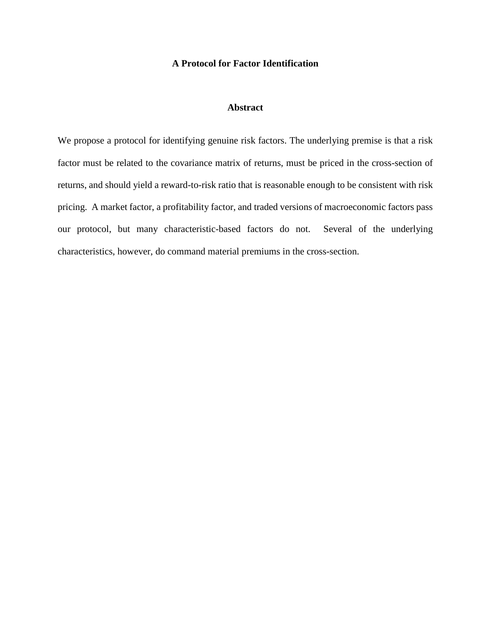## **A Protocol for Factor Identification**

## **Abstract**

We propose a protocol for identifying genuine risk factors. The underlying premise is that a risk factor must be related to the covariance matrix of returns, must be priced in the cross-section of returns, and should yield a reward-to-risk ratio that is reasonable enough to be consistent with risk pricing. A market factor, a profitability factor, and traded versions of macroeconomic factors pass our protocol, but many characteristic-based factors do not. Several of the underlying characteristics, however, do command material premiums in the cross-section.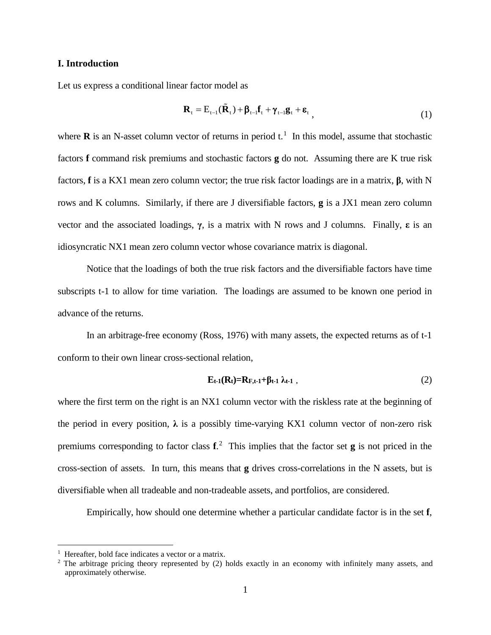#### **I. Introduction**

Let us express a conditional linear factor model as

$$
\mathbf{R}_{t} = \mathbf{E}_{t-1}(\tilde{\mathbf{R}}_{t}) + \beta_{t-1}\mathbf{f}_{t} + \gamma_{t-1}\mathbf{g}_{t} + \boldsymbol{\varepsilon}_{t}, \qquad (1)
$$

where  $\bf{R}$  is an N-asset column vector of returns in period  $t$ .<sup>[1](#page-3-0)</sup> In this model, assume that stochastic factors **f** command risk premiums and stochastic factors **g** do not. Assuming there are K true risk factors, **f** is a KX1 mean zero column vector; the true risk factor loadings are in a matrix, **β**, with N rows and K columns. Similarly, if there are J diversifiable factors, **g** is a JX1 mean zero column vector and the associated loadings, **γ**, is a matrix with N rows and J columns. Finally, **ε** is an idiosyncratic NX1 mean zero column vector whose covariance matrix is diagonal.

Notice that the loadings of both the true risk factors and the diversifiable factors have time subscripts t-1 to allow for time variation. The loadings are assumed to be known one period in advance of the returns.

In an arbitrage-free economy (Ross, 1976) with many assets, the expected returns as of t-1 conform to their own linear cross-sectional relation,

$$
\mathbf{E}_{t-1}(\mathbf{R}_t) = \mathbf{R}_{F,t-1} + \beta_{t-1} \lambda_{t-1} \tag{2}
$$

where the first term on the right is an NX1 column vector with the riskless rate at the beginning of the period in every position,  $\lambda$  is a possibly time-varying KX1 column vector of non-zero risk premiums corresponding to factor class **f**. [2](#page-3-1) This implies that the factor set **g** is not priced in the cross-section of assets. In turn, this means that **g** drives cross-correlations in the N assets, but is diversifiable when all tradeable and non-tradeable assets, and portfolios, are considered.

Empirically, how should one determine whether a particular candidate factor is in the set **f**,

 $\overline{a}$ 

<span id="page-3-0"></span><sup>1</sup> Hereafter, bold face indicates a vector or a matrix.

<span id="page-3-1"></span><sup>&</sup>lt;sup>2</sup> The arbitrage pricing theory represented by (2) holds exactly in an economy with infinitely many assets, and approximately otherwise.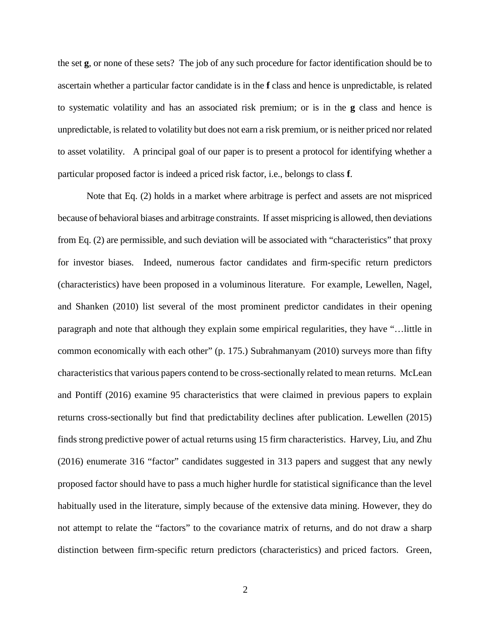the set **g**, or none of these sets? The job of any such procedure for factor identification should be to ascertain whether a particular factor candidate is in the **f** class and hence is unpredictable, is related to systematic volatility and has an associated risk premium; or is in the **g** class and hence is unpredictable, is related to volatility but does not earn a risk premium, or is neither priced nor related to asset volatility. A principal goal of our paper is to present a protocol for identifying whether a particular proposed factor is indeed a priced risk factor, i.e., belongs to class **f**.

Note that Eq. (2) holds in a market where arbitrage is perfect and assets are not mispriced because of behavioral biases and arbitrage constraints. If asset mispricing is allowed, then deviations from Eq. (2) are permissible, and such deviation will be associated with "characteristics" that proxy for investor biases. Indeed, numerous factor candidates and firm-specific return predictors (characteristics) have been proposed in a voluminous literature. For example, Lewellen, Nagel, and Shanken (2010) list several of the most prominent predictor candidates in their opening paragraph and note that although they explain some empirical regularities, they have "…little in common economically with each other" (p. 175.) Subrahmanyam (2010) surveys more than fifty characteristics that various papers contend to be cross-sectionally related to mean returns. McLean and Pontiff (2016) examine 95 characteristics that were claimed in previous papers to explain returns cross-sectionally but find that predictability declines after publication. Lewellen (2015) finds strong predictive power of actual returns using 15 firm characteristics. Harvey, Liu, and Zhu (2016) enumerate 316 "factor" candidates suggested in 313 papers and suggest that any newly proposed factor should have to pass a much higher hurdle for statistical significance than the level habitually used in the literature, simply because of the extensive data mining. However, they do not attempt to relate the "factors" to the covariance matrix of returns, and do not draw a sharp distinction between firm-specific return predictors (characteristics) and priced factors. Green,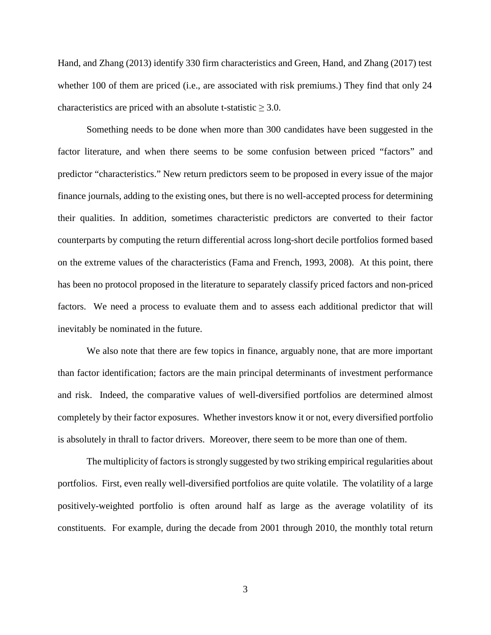Hand, and Zhang (2013) identify 330 firm characteristics and Green, Hand, and Zhang (2017) test whether 100 of them are priced (i.e., are associated with risk premiums.) They find that only 24 characteristics are priced with an absolute t-statistic  $\geq 3.0$ .

Something needs to be done when more than 300 candidates have been suggested in the factor literature, and when there seems to be some confusion between priced "factors" and predictor "characteristics." New return predictors seem to be proposed in every issue of the major finance journals, adding to the existing ones, but there is no well-accepted process for determining their qualities. In addition, sometimes characteristic predictors are converted to their factor counterparts by computing the return differential across long-short decile portfolios formed based on the extreme values of the characteristics (Fama and French, 1993, 2008). At this point, there has been no protocol proposed in the literature to separately classify priced factors and non-priced factors. We need a process to evaluate them and to assess each additional predictor that will inevitably be nominated in the future.

We also note that there are few topics in finance, arguably none, that are more important than factor identification; factors are the main principal determinants of investment performance and risk. Indeed, the comparative values of well-diversified portfolios are determined almost completely by their factor exposures. Whether investors know it or not, every diversified portfolio is absolutely in thrall to factor drivers. Moreover, there seem to be more than one of them.

The multiplicity of factors is strongly suggested by two striking empirical regularities about portfolios. First, even really well-diversified portfolios are quite volatile. The volatility of a large positively-weighted portfolio is often around half as large as the average volatility of its constituents. For example, during the decade from 2001 through 2010, the monthly total return

3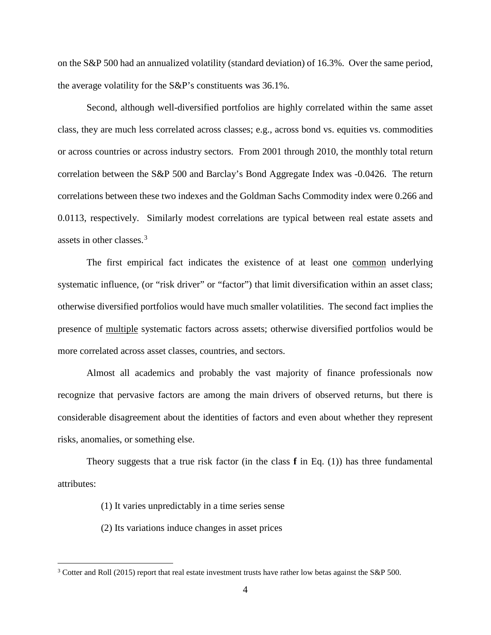on the S&P 500 had an annualized volatility (standard deviation) of 16.3%. Over the same period, the average volatility for the S&P's constituents was 36.1%.

Second, although well-diversified portfolios are highly correlated within the same asset class, they are much less correlated across classes; e.g., across bond vs. equities vs. commodities or across countries or across industry sectors. From 2001 through 2010, the monthly total return correlation between the S&P 500 and Barclay's Bond Aggregate Index was -0.0426. The return correlations between these two indexes and the Goldman Sachs Commodity index were 0.266 and 0.0113, respectively. Similarly modest correlations are typical between real estate assets and assets in other classes.<sup>[3](#page-6-0)</sup>

The first empirical fact indicates the existence of at least one common underlying systematic influence, (or "risk driver" or "factor") that limit diversification within an asset class; otherwise diversified portfolios would have much smaller volatilities. The second fact implies the presence of multiple systematic factors across assets; otherwise diversified portfolios would be more correlated across asset classes, countries, and sectors.

Almost all academics and probably the vast majority of finance professionals now recognize that pervasive factors are among the main drivers of observed returns, but there is considerable disagreement about the identities of factors and even about whether they represent risks, anomalies, or something else.

Theory suggests that a true risk factor (in the class **f** in Eq. (1)) has three fundamental attributes:

- (1) It varies unpredictably in a time series sense
- (2) Its variations induce changes in asset prices

 $\overline{a}$ 

<span id="page-6-0"></span><sup>&</sup>lt;sup>3</sup> Cotter and Roll (2015) report that real estate investment trusts have rather low betas against the S&P 500.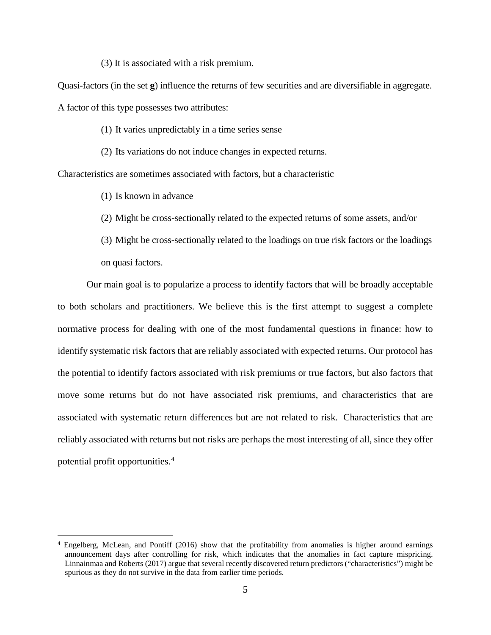(3) It is associated with a risk premium.

Quasi-factors (in the set **g**) influence the returns of few securities and are diversifiable in aggregate.

A factor of this type possesses two attributes:

(1) It varies unpredictably in a time series sense

(2) Its variations do not induce changes in expected returns.

Characteristics are sometimes associated with factors, but a characteristic

(1) Is known in advance

 $\overline{a}$ 

- (2) Might be cross-sectionally related to the expected returns of some assets, and/or
- (3) Might be cross-sectionally related to the loadings on true risk factors or the loadings on quasi factors.

Our main goal is to popularize a process to identify factors that will be broadly acceptable to both scholars and practitioners. We believe this is the first attempt to suggest a complete normative process for dealing with one of the most fundamental questions in finance: how to identify systematic risk factors that are reliably associated with expected returns. Our protocol has the potential to identify factors associated with risk premiums or true factors, but also factors that move some returns but do not have associated risk premiums, and characteristics that are associated with systematic return differences but are not related to risk. Characteristics that are reliably associated with returns but not risks are perhaps the most interesting of all, since they offer potential profit opportunities.[4](#page-7-0)

<span id="page-7-0"></span><sup>4</sup> Engelberg, McLean, and Pontiff (2016) show that the profitability from anomalies is higher around earnings announcement days after controlling for risk, which indicates that the anomalies in fact capture mispricing. Linnainmaa and Roberts (2017) argue that several recently discovered return predictors ("characteristics") might be spurious as they do not survive in the data from earlier time periods.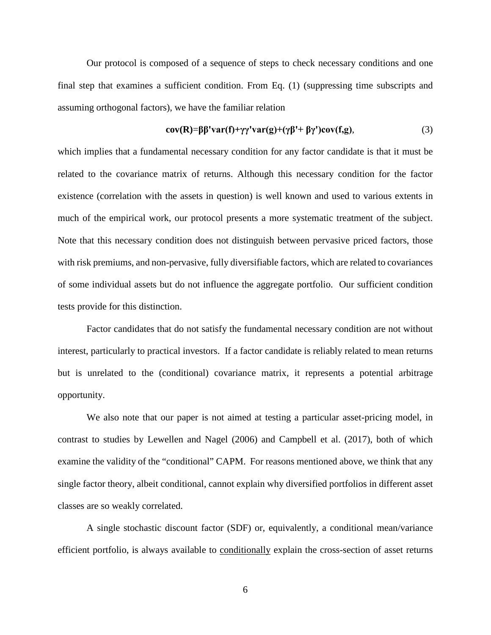Our protocol is composed of a sequence of steps to check necessary conditions and one final step that examines a sufficient condition. From Eq. (1) (suppressing time subscripts and assuming orthogonal factors), we have the familiar relation

$$
cov(R) = \beta \beta' var(f) + \gamma \gamma' var(g) + (\gamma \beta' + \beta \gamma') cov(f, g),
$$
\n(3)

which implies that a fundamental necessary condition for any factor candidate is that it must be related to the covariance matrix of returns. Although this necessary condition for the factor existence (correlation with the assets in question) is well known and used to various extents in much of the empirical work, our protocol presents a more systematic treatment of the subject. Note that this necessary condition does not distinguish between pervasive priced factors, those with risk premiums, and non-pervasive, fully diversifiable factors, which are related to covariances of some individual assets but do not influence the aggregate portfolio. Our sufficient condition tests provide for this distinction.

Factor candidates that do not satisfy the fundamental necessary condition are not without interest, particularly to practical investors. If a factor candidate is reliably related to mean returns but is unrelated to the (conditional) covariance matrix, it represents a potential arbitrage opportunity.

We also note that our paper is not aimed at testing a particular asset-pricing model, in contrast to studies by Lewellen and Nagel (2006) and Campbell et al. (2017), both of which examine the validity of the "conditional" CAPM. For reasons mentioned above, we think that any single factor theory, albeit conditional, cannot explain why diversified portfolios in different asset classes are so weakly correlated.

A single stochastic discount factor (SDF) or, equivalently, a conditional mean/variance efficient portfolio, is always available to conditionally explain the cross-section of asset returns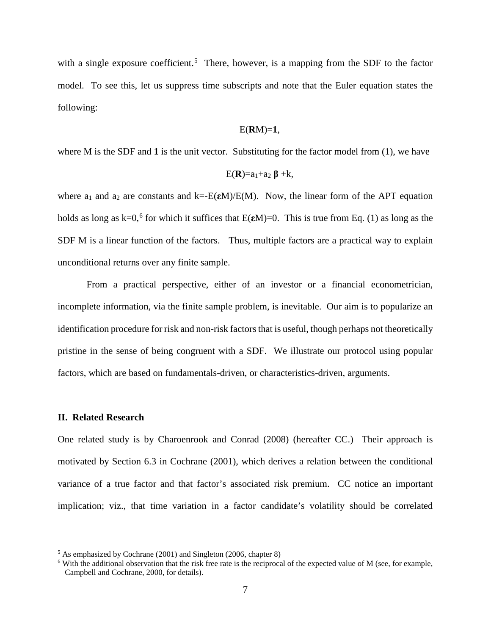with a single exposure coefficient.<sup>[5](#page-9-0)</sup> There, however, is a mapping from the SDF to the factor model. To see this, let us suppress time subscripts and note that the Euler equation states the following:

### E(**R**M)=**1**,

where M is the SDF and 1 is the unit vector. Substituting for the factor model from (1), we have

$$
E(\mathbf{R})=a_1+a_2\beta+k,
$$

where  $a_1$  and  $a_2$  are constants and  $k = E(\epsilon M)/E(M)$ . Now, the linear form of the APT equation holds as long as k=0,<sup>[6](#page-9-1)</sup> for which it suffices that  $E(\epsilon M)$ =0. This is true from Eq. (1) as long as the SDF M is a linear function of the factors. Thus, multiple factors are a practical way to explain unconditional returns over any finite sample.

From a practical perspective, either of an investor or a financial econometrician, incomplete information, via the finite sample problem, is inevitable. Our aim is to popularize an identification procedure for risk and non-risk factors that is useful, though perhaps not theoretically pristine in the sense of being congruent with a SDF. We illustrate our protocol using popular factors, which are based on fundamentals-driven, or characteristics-driven, arguments.

#### **II. Related Research**

 $\overline{a}$ 

One related study is by Charoenrook and Conrad (2008) (hereafter CC.) Their approach is motivated by Section 6.3 in Cochrane (2001), which derives a relation between the conditional variance of a true factor and that factor's associated risk premium. CC notice an important implication; viz., that time variation in a factor candidate's volatility should be correlated

<span id="page-9-0"></span><sup>5</sup> As emphasized by Cochrane (2001) and Singleton (2006, chapter 8)

<span id="page-9-1"></span> $6$  With the additional observation that the risk free rate is the reciprocal of the expected value of M (see, for example, Campbell and Cochrane, 2000, for details).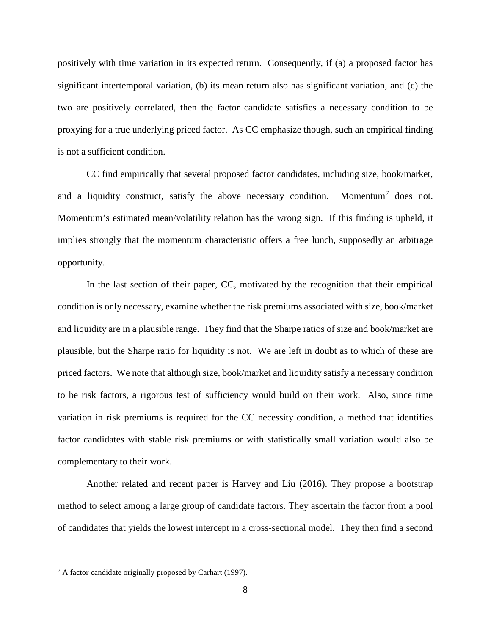positively with time variation in its expected return. Consequently, if (a) a proposed factor has significant intertemporal variation, (b) its mean return also has significant variation, and (c) the two are positively correlated, then the factor candidate satisfies a necessary condition to be proxying for a true underlying priced factor. As CC emphasize though, such an empirical finding is not a sufficient condition.

CC find empirically that several proposed factor candidates, including size, book/market, and a liquidity construct, satisfy the above necessary condition. Momentum<sup>[7](#page-10-0)</sup> does not. Momentum's estimated mean/volatility relation has the wrong sign. If this finding is upheld, it implies strongly that the momentum characteristic offers a free lunch, supposedly an arbitrage opportunity.

In the last section of their paper, CC, motivated by the recognition that their empirical condition is only necessary, examine whether the risk premiums associated with size, book/market and liquidity are in a plausible range. They find that the Sharpe ratios of size and book/market are plausible, but the Sharpe ratio for liquidity is not. We are left in doubt as to which of these are priced factors. We note that although size, book/market and liquidity satisfy a necessary condition to be risk factors, a rigorous test of sufficiency would build on their work. Also, since time variation in risk premiums is required for the CC necessity condition, a method that identifies factor candidates with stable risk premiums or with statistically small variation would also be complementary to their work.

Another related and recent paper is Harvey and Liu (2016). They propose a bootstrap method to select among a large group of candidate factors. They ascertain the factor from a pool of candidates that yields the lowest intercept in a cross-sectional model. They then find a second

 $\overline{a}$ 

<span id="page-10-0"></span><sup>7</sup> A factor candidate originally proposed by Carhart (1997).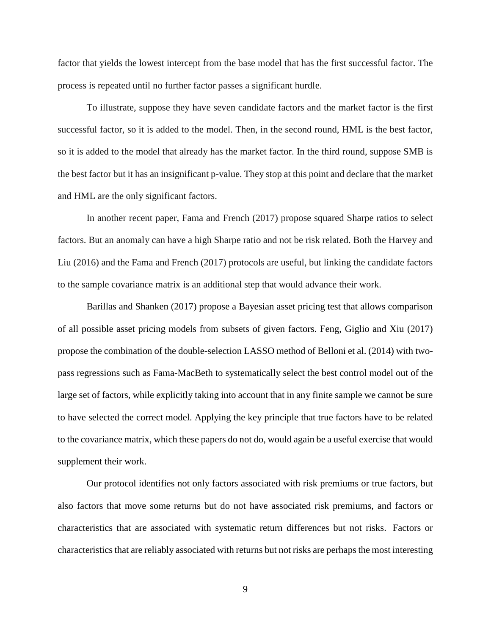factor that yields the lowest intercept from the base model that has the first successful factor. The process is repeated until no further factor passes a significant hurdle.

To illustrate, suppose they have seven candidate factors and the market factor is the first successful factor, so it is added to the model. Then, in the second round, HML is the best factor, so it is added to the model that already has the market factor. In the third round, suppose SMB is the best factor but it has an insignificant p-value. They stop at this point and declare that the market and HML are the only significant factors.

In another recent paper, Fama and French (2017) propose squared Sharpe ratios to select factors. But an anomaly can have a high Sharpe ratio and not be risk related. Both the Harvey and Liu (2016) and the Fama and French (2017) protocols are useful, but linking the candidate factors to the sample covariance matrix is an additional step that would advance their work.

Barillas and Shanken (2017) propose a Bayesian asset pricing test that allows comparison of all possible asset pricing models from subsets of given factors. Feng, Giglio and Xiu (2017) propose the combination of the double-selection LASSO method of Belloni et al. (2014) with twopass regressions such as Fama-MacBeth to systematically select the best control model out of the large set of factors, while explicitly taking into account that in any finite sample we cannot be sure to have selected the correct model. Applying the key principle that true factors have to be related to the covariance matrix, which these papers do not do, would again be a useful exercise that would supplement their work.

Our protocol identifies not only factors associated with risk premiums or true factors, but also factors that move some returns but do not have associated risk premiums, and factors or characteristics that are associated with systematic return differences but not risks. Factors or characteristics that are reliably associated with returns but not risks are perhaps the most interesting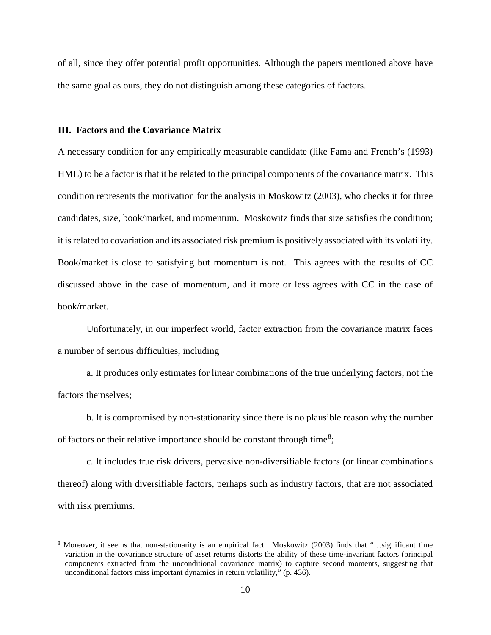of all, since they offer potential profit opportunities. Although the papers mentioned above have the same goal as ours, they do not distinguish among these categories of factors.

#### **III. Factors and the Covariance Matrix**

 $\overline{a}$ 

A necessary condition for any empirically measurable candidate (like Fama and French's (1993) HML) to be a factor is that it be related to the principal components of the covariance matrix. This condition represents the motivation for the analysis in Moskowitz (2003), who checks it for three candidates, size, book/market, and momentum. Moskowitz finds that size satisfies the condition; it is related to covariation and its associated risk premium is positively associated with its volatility. Book/market is close to satisfying but momentum is not. This agrees with the results of CC discussed above in the case of momentum, and it more or less agrees with CC in the case of book/market.

Unfortunately, in our imperfect world, factor extraction from the covariance matrix faces a number of serious difficulties, including

a. It produces only estimates for linear combinations of the true underlying factors, not the factors themselves;

b. It is compromised by non-stationarity since there is no plausible reason why the number of factors or their relative importance should be constant through time<sup>[8](#page-12-0)</sup>;

c. It includes true risk drivers, pervasive non-diversifiable factors (or linear combinations thereof) along with diversifiable factors, perhaps such as industry factors, that are not associated with risk premiums.

<span id="page-12-0"></span><sup>8</sup> Moreover, it seems that non-stationarity is an empirical fact. Moskowitz (2003) finds that "…significant time variation in the covariance structure of asset returns distorts the ability of these time-invariant factors (principal components extracted from the unconditional covariance matrix) to capture second moments, suggesting that unconditional factors miss important dynamics in return volatility," (p. 436).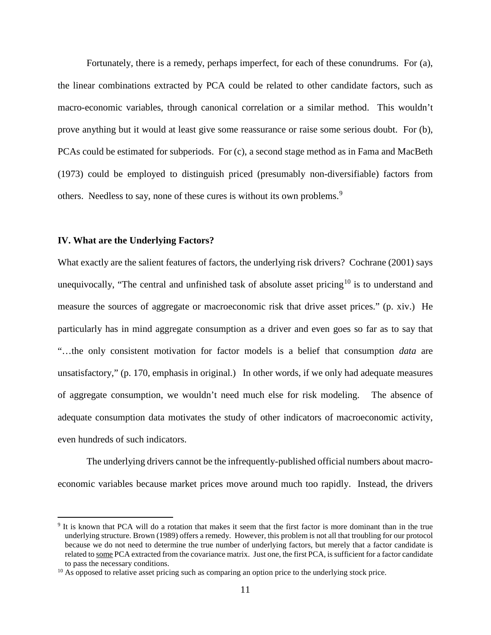Fortunately, there is a remedy, perhaps imperfect, for each of these conundrums. For (a), the linear combinations extracted by PCA could be related to other candidate factors, such as macro-economic variables, through canonical correlation or a similar method. This wouldn't prove anything but it would at least give some reassurance or raise some serious doubt. For (b), PCAs could be estimated for subperiods. For (c), a second stage method as in Fama and MacBeth (1973) could be employed to distinguish priced (presumably non-diversifiable) factors from others. Needless to say, none of these cures is without its own problems.<sup>[9](#page-13-0)</sup>

### **IV. What are the Underlying Factors?**

 $\overline{a}$ 

What exactly are the salient features of factors, the underlying risk drivers? Cochrane (2001) says unequivocally, "The central and unfinished task of absolute asset pricing<sup>[10](#page-13-1)</sup> is to understand and measure the sources of aggregate or macroeconomic risk that drive asset prices." (p. xiv.) He particularly has in mind aggregate consumption as a driver and even goes so far as to say that "…the only consistent motivation for factor models is a belief that consumption *data* are unsatisfactory," (p. 170, emphasis in original.) In other words, if we only had adequate measures of aggregate consumption, we wouldn't need much else for risk modeling. The absence of adequate consumption data motivates the study of other indicators of macroeconomic activity, even hundreds of such indicators.

The underlying drivers cannot be the infrequently-published official numbers about macroeconomic variables because market prices move around much too rapidly. Instead, the drivers

<span id="page-13-0"></span><sup>9</sup> It is known that PCA will do a rotation that makes it seem that the first factor is more dominant than in the true underlying structure. Brown (1989) offers a remedy. However, this problem is not all that troubling for our protocol because we do not need to determine the true number of underlying factors, but merely that a factor candidate is related to some PCA extracted from the covariance matrix. Just one, the first PCA, is sufficient for a factor candidate to pass the necessary conditions.<br><sup>10</sup> As opposed to relative asset pricing such as comparing an option price to the underlying stock price.

<span id="page-13-1"></span>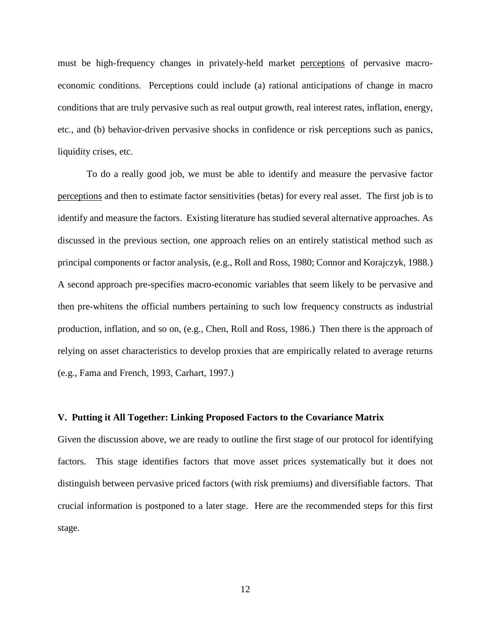must be high-frequency changes in privately-held market perceptions of pervasive macroeconomic conditions. Perceptions could include (a) rational anticipations of change in macro conditions that are truly pervasive such as real output growth, real interest rates, inflation, energy, etc., and (b) behavior-driven pervasive shocks in confidence or risk perceptions such as panics, liquidity crises, etc.

To do a really good job, we must be able to identify and measure the pervasive factor perceptions and then to estimate factor sensitivities (betas) for every real asset. The first job is to identify and measure the factors. Existing literature has studied several alternative approaches. As discussed in the previous section, one approach relies on an entirely statistical method such as principal components or factor analysis, (e.g., Roll and Ross, 1980; Connor and Korajczyk, 1988.) A second approach pre-specifies macro-economic variables that seem likely to be pervasive and then pre-whitens the official numbers pertaining to such low frequency constructs as industrial production, inflation, and so on, (e.g., Chen, Roll and Ross, 1986.) Then there is the approach of relying on asset characteristics to develop proxies that are empirically related to average returns (e.g., Fama and French, 1993, Carhart, 1997.)

#### **V. Putting it All Together: Linking Proposed Factors to the Covariance Matrix**

Given the discussion above, we are ready to outline the first stage of our protocol for identifying factors. This stage identifies factors that move asset prices systematically but it does not distinguish between pervasive priced factors (with risk premiums) and diversifiable factors. That crucial information is postponed to a later stage. Here are the recommended steps for this first stage.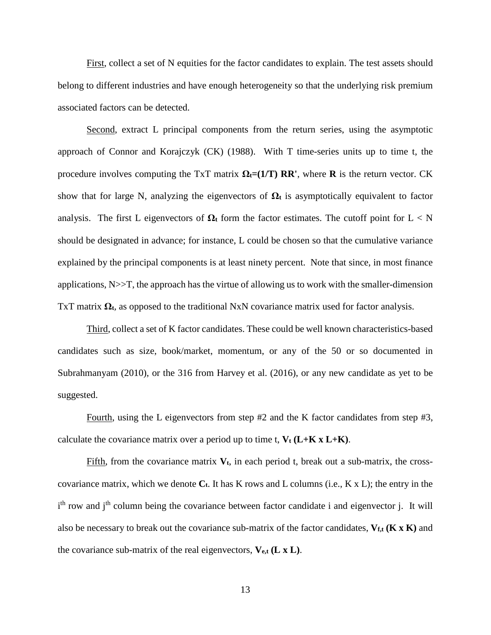First, collect a set of N equities for the factor candidates to explain. The test assets should belong to different industries and have enough heterogeneity so that the underlying risk premium associated factors can be detected.

Second, extract L principal components from the return series, using the asymptotic approach of Connor and Korajczyk (CK) (1988). With T time-series units up to time t, the procedure involves computing the TxT matrix  $\Omega_t = (1/T) \, \text{RR}$ ', where **R** is the return vector. CK show that for large N, analyzing the eigenvectors of  $\Omega_t$  is asymptotically equivalent to factor analysis. The first L eigenvectors of  $\Omega$ **t** form the factor estimates. The cutoff point for  $L < N$ should be designated in advance; for instance, L could be chosen so that the cumulative variance explained by the principal components is at least ninety percent. Note that since, in most finance applications,  $N \gg T$ , the approach has the virtue of allowing us to work with the smaller-dimension TxT matrix **Ωt***,* as opposed to the traditional NxN covariance matrix used for factor analysis.

Third, collect a set of K factor candidates. These could be well known characteristics-based candidates such as size, book/market, momentum, or any of the 50 or so documented in Subrahmanyam (2010), or the 316 from Harvey et al. (2016), or any new candidate as yet to be suggested.

Fourth, using the L eigenvectors from step #2 and the K factor candidates from step #3, calculate the covariance matrix over a period up to time t,  $V_t$  ( $L+K$  x  $L+K$ ).

Fifth, from the covariance matrix  $V_t$ , in each period t, break out a sub-matrix, the crosscovariance matrix, which we denote  $C_t$ . It has K rows and L columns (i.e., K x L); the entry in the i<sup>th</sup> row and j<sup>th</sup> column being the covariance between factor candidate i and eigenvector j. It will also be necessary to break out the covariance sub-matrix of the factor candidates,  $V_{f,t}$  ( $K \times K$ ) and the covariance sub-matrix of the real eigenvectors,  $V_{e,t}$  ( $L \times L$ ).

13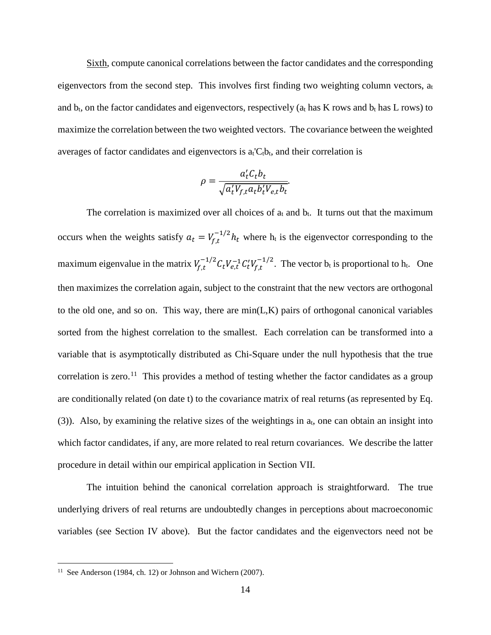Sixth, compute canonical correlations between the factor candidates and the corresponding eigenvectors from the second step. This involves first finding two weighting column vectors,  $a_t$ and  $b_t$ , on the factor candidates and eigenvectors, respectively ( $a_t$  has K rows and  $b_t$  has L rows) to maximize the correlation between the two weighted vectors. The covariance between the weighted averages of factor candidates and eigenvectors is  $a_t C_t b_t$ , and their correlation is

$$
\rho = \frac{a_t' C_t b_t}{\sqrt{a_t' V_{f,t} a_t b_t' V_{e,t} b_t}}
$$

The correlation is maximized over all choices of  $a_t$  and  $b_t$ . It turns out that the maximum occurs when the weights satisfy  $a_t = V_{f,t}^{-1/2} h_t$  where  $h_t$  is the eigenvector corresponding to the maximum eigenvalue in the matrix  $V_{f,t}^{-1/2} C_t V_{e,t}^{-1} C_t' V_{f,t}^{-1/2}$ . The vector  $b_t$  is proportional to  $h_t$ . One then maximizes the correlation again, subject to the constraint that the new vectors are orthogonal to the old one, and so on. This way, there are  $min(L,K)$  pairs of orthogonal canonical variables sorted from the highest correlation to the smallest. Each correlation can be transformed into a variable that is asymptotically distributed as Chi-Square under the null hypothesis that the true correlation is zero.<sup>[11](#page-16-0)</sup> This provides a method of testing whether the factor candidates as a group are conditionally related (on date t) to the covariance matrix of real returns (as represented by Eq.  $(3)$ ). Also, by examining the relative sizes of the weightings in  $a_t$ , one can obtain an insight into which factor candidates, if any, are more related to real return covariances. We describe the latter procedure in detail within our empirical application in Section VII.

The intuition behind the canonical correlation approach is straightforward. The true underlying drivers of real returns are undoubtedly changes in perceptions about macroeconomic variables (see Section IV above). But the factor candidates and the eigenvectors need not be

 $\overline{a}$ 

<span id="page-16-0"></span><sup>&</sup>lt;sup>11</sup> See Anderson (1984, ch. 12) or Johnson and Wichern (2007).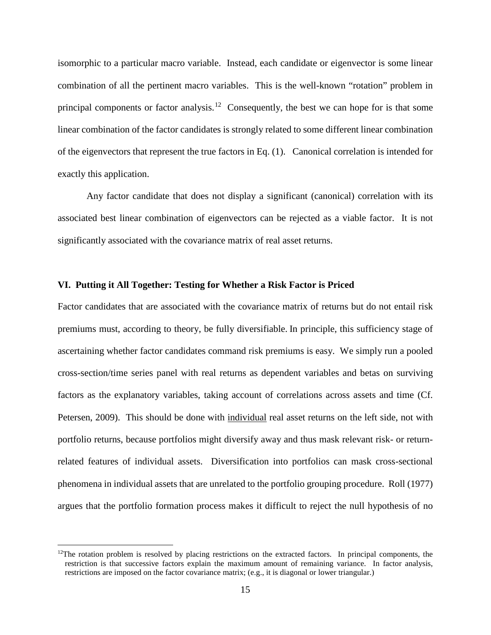isomorphic to a particular macro variable. Instead, each candidate or eigenvector is some linear combination of all the pertinent macro variables. This is the well-known "rotation" problem in principal components or factor analysis.<sup>[12](#page-17-0)</sup> Consequently, the best we can hope for is that some linear combination of the factor candidates is strongly related to some different linear combination of the eigenvectors that represent the true factors in Eq. (1). Canonical correlation is intended for exactly this application.

Any factor candidate that does not display a significant (canonical) correlation with its associated best linear combination of eigenvectors can be rejected as a viable factor. It is not significantly associated with the covariance matrix of real asset returns.

#### **VI. Putting it All Together: Testing for Whether a Risk Factor is Priced**

Factor candidates that are associated with the covariance matrix of returns but do not entail risk premiums must, according to theory, be fully diversifiable. In principle, this sufficiency stage of ascertaining whether factor candidates command risk premiums is easy. We simply run a pooled cross-section/time series panel with real returns as dependent variables and betas on surviving factors as the explanatory variables, taking account of correlations across assets and time (Cf. Petersen, 2009). This should be done with individual real asset returns on the left side, not with portfolio returns, because portfolios might diversify away and thus mask relevant risk- or returnrelated features of individual assets. Diversification into portfolios can mask cross-sectional phenomena in individual assets that are unrelated to the portfolio grouping procedure. Roll (1977) argues that the portfolio formation process makes it difficult to reject the null hypothesis of no

 $\overline{a}$ 

<span id="page-17-0"></span> $12$ The rotation problem is resolved by placing restrictions on the extracted factors. In principal components, the restriction is that successive factors explain the maximum amount of remaining variance. In factor analysis, restrictions are imposed on the factor covariance matrix; (e.g., it is diagonal or lower triangular.)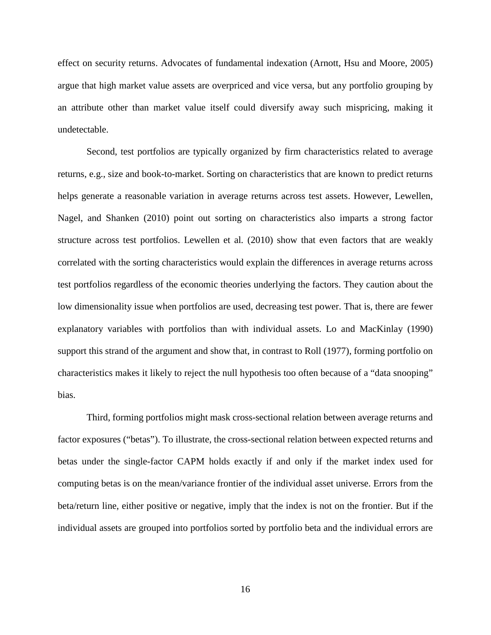effect on security returns. Advocates of fundamental indexation (Arnott, Hsu and Moore, 2005) argue that high market value assets are overpriced and vice versa, but any portfolio grouping by an attribute other than market value itself could diversify away such mispricing, making it undetectable.

Second, test portfolios are typically organized by firm characteristics related to average returns, e.g., size and book-to-market. Sorting on characteristics that are known to predict returns helps generate a reasonable variation in average returns across test assets. However, Lewellen, Nagel, and Shanken (2010) point out sorting on characteristics also imparts a strong factor structure across test portfolios. Lewellen et al*.* (2010) show that even factors that are weakly correlated with the sorting characteristics would explain the differences in average returns across test portfolios regardless of the economic theories underlying the factors. They caution about the low dimensionality issue when portfolios are used, decreasing test power. That is, there are fewer explanatory variables with portfolios than with individual assets. Lo and MacKinlay (1990) support this strand of the argument and show that, in contrast to Roll (1977), forming portfolio on characteristics makes it likely to reject the null hypothesis too often because of a "data snooping" bias.

Third, forming portfolios might mask cross-sectional relation between average returns and factor exposures ("betas"). To illustrate, the cross-sectional relation between expected returns and betas under the single-factor CAPM holds exactly if and only if the market index used for computing betas is on the mean/variance frontier of the individual asset universe. Errors from the beta/return line, either positive or negative, imply that the index is not on the frontier. But if the individual assets are grouped into portfolios sorted by portfolio beta and the individual errors are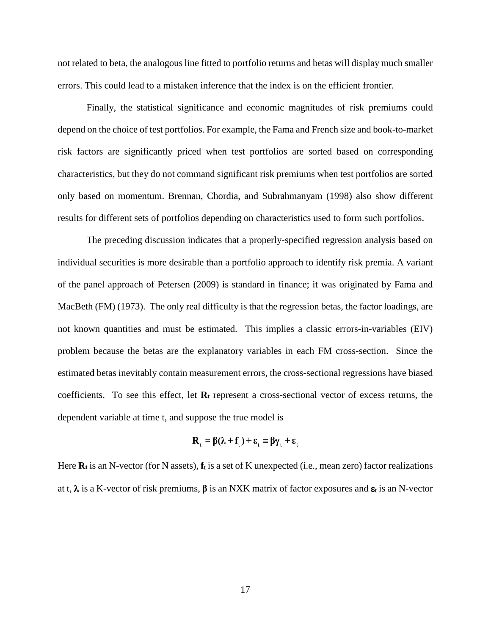not related to beta, the analogous line fitted to portfolio returns and betas will display much smaller errors. This could lead to a mistaken inference that the index is on the efficient frontier.

Finally, the statistical significance and economic magnitudes of risk premiums could depend on the choice of test portfolios. For example, the Fama and French size and book-to-market risk factors are significantly priced when test portfolios are sorted based on corresponding characteristics, but they do not command significant risk premiums when test portfolios are sorted only based on momentum. Brennan, Chordia, and Subrahmanyam (1998) also show different results for different sets of portfolios depending on characteristics used to form such portfolios.

The preceding discussion indicates that a properly-specified regression analysis based on individual securities is more desirable than a portfolio approach to identify risk premia. A variant of the panel approach of Petersen (2009) is standard in finance; it was originated by Fama and MacBeth (FM) (1973). The only real difficulty is that the regression betas, the factor loadings, are not known quantities and must be estimated. This implies a classic errors-in-variables (EIV) problem because the betas are the explanatory variables in each FM cross-section. Since the estimated betas inevitably contain measurement errors, the cross-sectional regressions have biased coefficients. To see this effect, let **Rt** represent a cross-sectional vector of excess returns, the dependent variable at time t, and suppose the true model is

$$
\mathbf{R}_{\mathrm{t}} = \beta(\lambda + \mathbf{f}_{\mathrm{t}}) + \boldsymbol{\epsilon}_{\mathrm{t}} \equiv \beta \gamma_{\mathrm{t}} + \boldsymbol{\epsilon}_{\mathrm{t}}
$$

Here  $\mathbf{R}_t$  is an N-vector (for N assets),  $\mathbf{f}_t$  is a set of K unexpected (i.e., mean zero) factor realizations at t,  $\lambda$  is a K-vector of risk premiums,  $\beta$  is an NXK matrix of factor exposures and  $\varepsilon_t$  is an N-vector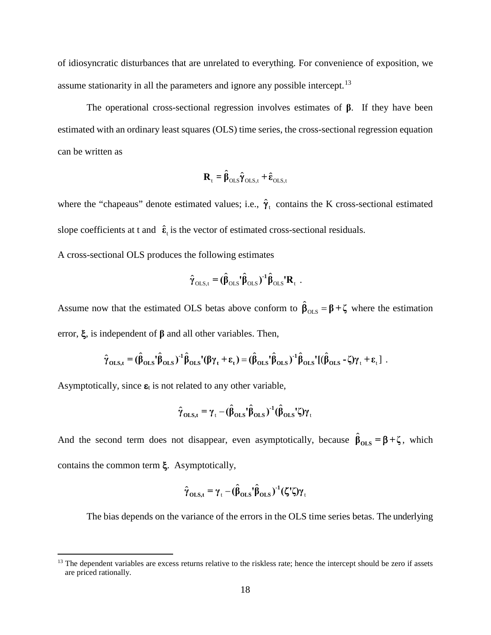of idiosyncratic disturbances that are unrelated to everything. For convenience of exposition, we assume stationarity in all the parameters and ignore any possible intercept.<sup>[13](#page-20-0)</sup>

The operational cross-sectional regression involves estimates of **β**. If they have been estimated with an ordinary least squares (OLS) time series, the cross-sectional regression equation can be written as

$$
\mathbf{R}_{t} = \hat{\boldsymbol{\beta}}_{\text{OLS}} \hat{\boldsymbol{\gamma}}_{\text{OLS},t} + \hat{\boldsymbol{\epsilon}}_{\text{OLS},t}
$$

where the "chapeaus" denote estimated values; i.e.,  $\hat{\gamma}_t$  contains the K cross-sectional estimated slope coefficients at t and  $\hat{\epsilon}_t$  is the vector of estimated cross-sectional residuals.

A cross-sectional OLS produces the following estimates

$$
\hat{\gamma}_{\text{OLS,t}} = (\hat{\beta}_{\text{OLS}}' \hat{\beta}_{\text{OLS}})^{-1} \hat{\beta}_{\text{OLS}}' \mathbf{R}_t.
$$

Assume now that the estimated OLS betas above conform to  $\hat{\beta}_{OLS} = \beta + \zeta$  where the estimation error, ξ, is independent of **β** and all other variables. Then,

$$
\hat{\gamma}_{OLS,t} = (\hat{\beta}_{OLS}^{\dagger} \hat{\beta}_{OLS})^{-1} \hat{\beta}_{OLS}^{\dagger} (\beta \gamma_t + \epsilon_t) = (\hat{\beta}_{OLS}^{\dagger} \hat{\beta}_{OLS})^{-1} \hat{\beta}_{OLS}^{\dagger} [(\hat{\beta}_{OLS} - \zeta) \gamma_t + \epsilon_t].
$$

Asymptotically, since  $\varepsilon_t$  is not related to any other variable,

 $\overline{a}$ 

$$
\hat{\gamma}_{\text{OLS,t}} = \gamma_{\text{t}} - (\hat{\beta}_{\text{OLS}}' \hat{\beta}_{\text{OLS}})^{-1} (\hat{\beta}_{\text{OLS}}' \zeta) \gamma_{\text{t}}
$$

And the second term does not disappear, even asymptotically, because  $\hat{\beta}_{OLS} = \beta + \zeta$ , which contains the common term ξ. Asymptotically,

$$
\hat{\gamma}_{\text{OLS,t}} = \gamma_{\text{t}} - (\hat{\beta}_{\text{OLS}}') \hat{\beta}_{\text{OLS}})^{-1} (\zeta' \zeta) \gamma_{\text{t}}
$$

The bias depends on the variance of the errors in the OLS time series betas. The underlying

<span id="page-20-0"></span> $<sup>13</sup>$  The dependent variables are excess returns relative to the riskless rate; hence the intercept should be zero if assets</sup> are priced rationally.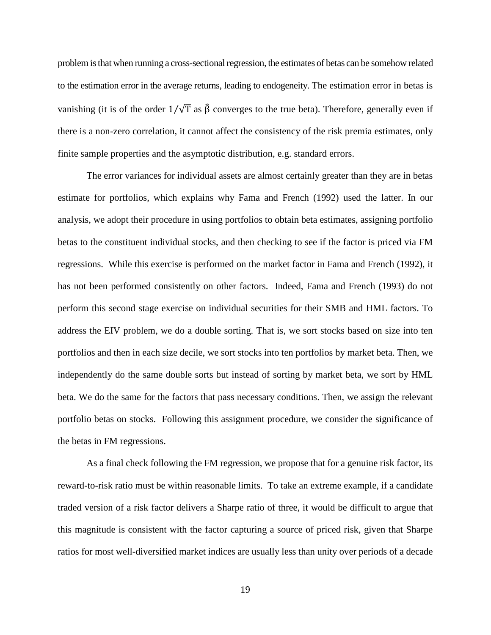problem is that when running a cross-sectional regression, the estimates of betas can be somehow related to the estimation error in the average returns, leading to endogeneity. The estimation error in betas is vanishing (it is of the order  $1/\sqrt{T}$  as  $\hat{\beta}$  converges to the true beta). Therefore, generally even if there is a non-zero correlation, it cannot affect the consistency of the risk premia estimates, only finite sample properties and the asymptotic distribution, e.g. standard errors.

The error variances for individual assets are almost certainly greater than they are in betas estimate for portfolios, which explains why Fama and French (1992) used the latter. In our analysis, we adopt their procedure in using portfolios to obtain beta estimates, assigning portfolio betas to the constituent individual stocks, and then checking to see if the factor is priced via FM regressions. While this exercise is performed on the market factor in Fama and French (1992), it has not been performed consistently on other factors. Indeed, Fama and French (1993) do not perform this second stage exercise on individual securities for their SMB and HML factors. To address the EIV problem, we do a double sorting. That is, we sort stocks based on size into ten portfolios and then in each size decile, we sort stocks into ten portfolios by market beta. Then, we independently do the same double sorts but instead of sorting by market beta, we sort by HML beta. We do the same for the factors that pass necessary conditions. Then, we assign the relevant portfolio betas on stocks. Following this assignment procedure, we consider the significance of the betas in FM regressions.

As a final check following the FM regression, we propose that for a genuine risk factor, its reward-to-risk ratio must be within reasonable limits. To take an extreme example, if a candidate traded version of a risk factor delivers a Sharpe ratio of three, it would be difficult to argue that this magnitude is consistent with the factor capturing a source of priced risk, given that Sharpe ratios for most well-diversified market indices are usually less than unity over periods of a decade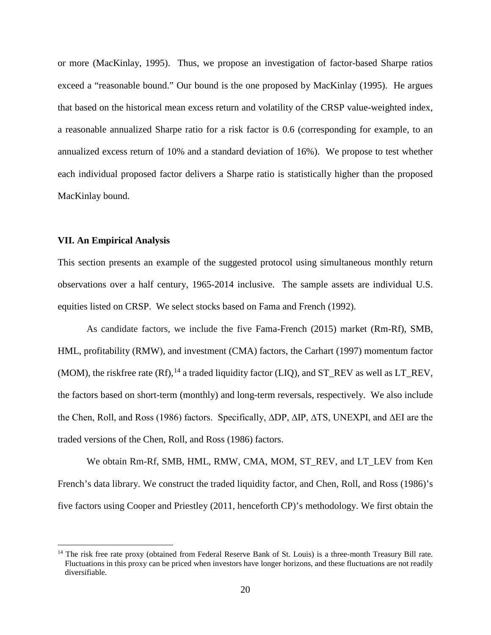or more (MacKinlay, 1995). Thus, we propose an investigation of factor-based Sharpe ratios exceed a "reasonable bound." Our bound is the one proposed by MacKinlay (1995). He argues that based on the historical mean excess return and volatility of the CRSP value-weighted index, a reasonable annualized Sharpe ratio for a risk factor is 0.6 (corresponding for example, to an annualized excess return of 10% and a standard deviation of 16%). We propose to test whether each individual proposed factor delivers a Sharpe ratio is statistically higher than the proposed MacKinlay bound.

### **VII. An Empirical Analysis**

 $\overline{a}$ 

This section presents an example of the suggested protocol using simultaneous monthly return observations over a half century, 1965-2014 inclusive. The sample assets are individual U.S. equities listed on CRSP. We select stocks based on Fama and French (1992).

As candidate factors, we include the five Fama-French (2015) market (Rm-Rf), SMB, HML, profitability (RMW), and investment (CMA) factors, the Carhart (1997) momentum factor (MOM), the riskfree rate  $(Rf)$ ,<sup>[14](#page-22-0)</sup> a traded liquidity factor (LIQ), and ST\_REV as well as LT\_REV, the factors based on short-term (monthly) and long-term reversals, respectively. We also include the Chen, Roll, and Ross (1986) factors. Specifically, ∆DP, ∆IP, ∆TS, UNEXPI, and ∆EI are the traded versions of the Chen, Roll, and Ross (1986) factors.

We obtain Rm-Rf, SMB, HML, RMW, CMA, MOM, ST\_REV, and LT\_LEV from Ken French's data library. We construct the traded liquidity factor, and Chen, Roll, and Ross (1986)'s five factors using Cooper and Priestley (2011, henceforth CP)'s methodology. We first obtain the

<span id="page-22-0"></span><sup>&</sup>lt;sup>14</sup> The risk free rate proxy (obtained from Federal Reserve Bank of St. Louis) is a three-month Treasury Bill rate. Fluctuations in this proxy can be priced when investors have longer horizons, and these fluctuations are not readily diversifiable.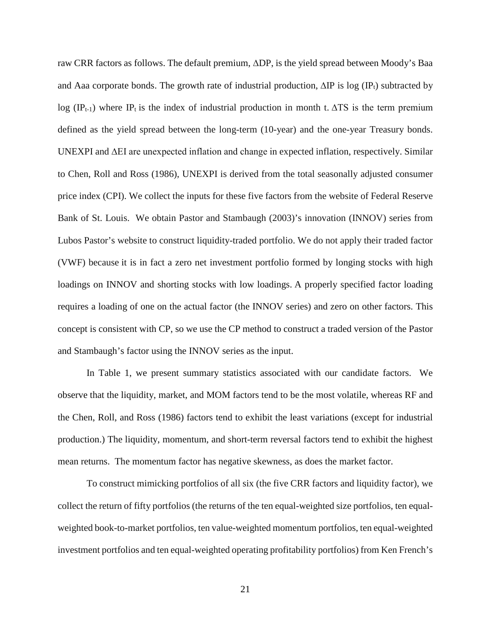raw CRR factors as follows. The default premium, ∆DP, is the yield spread between Moody's Baa and Aaa corporate bonds. The growth rate of industrial production,  $\Delta IP$  is log (IP<sub>t</sub>) subtracted by log (IP<sub>t-1</sub>) where IP<sub>t</sub> is the index of industrial production in month t.  $\Delta TS$  is the term premium defined as the yield spread between the long-term (10-year) and the one-year Treasury bonds. UNEXPI and  $\Delta$ EI are unexpected inflation and change in expected inflation, respectively. Similar to Chen, Roll and Ross (1986), UNEXPI is derived from the total seasonally adjusted consumer price index (CPI). We collect the inputs for these five factors from the website of Federal Reserve Bank of St. Louis. We obtain Pastor and Stambaugh (2003)'s innovation (INNOV) series from Lubos Pastor's website to construct liquidity-traded portfolio. We do not apply their traded factor (VWF) because it is in fact a zero net investment portfolio formed by longing stocks with high loadings on INNOV and shorting stocks with low loadings. A properly specified factor loading requires a loading of one on the actual factor (the INNOV series) and zero on other factors. This concept is consistent with CP, so we use the CP method to construct a traded version of the Pastor and Stambaugh's factor using the INNOV series as the input.

In Table 1, we present summary statistics associated with our candidate factors. We observe that the liquidity, market, and MOM factors tend to be the most volatile, whereas RF and the Chen, Roll, and Ross (1986) factors tend to exhibit the least variations (except for industrial production.) The liquidity, momentum, and short-term reversal factors tend to exhibit the highest mean returns. The momentum factor has negative skewness, as does the market factor.

To construct mimicking portfolios of all six (the five CRR factors and liquidity factor), we collect the return of fifty portfolios (the returns of the ten equal-weighted size portfolios, ten equalweighted book-to-market portfolios, ten value-weighted momentum portfolios, ten equal-weighted investment portfolios and ten equal-weighted operating profitability portfolios) from Ken French's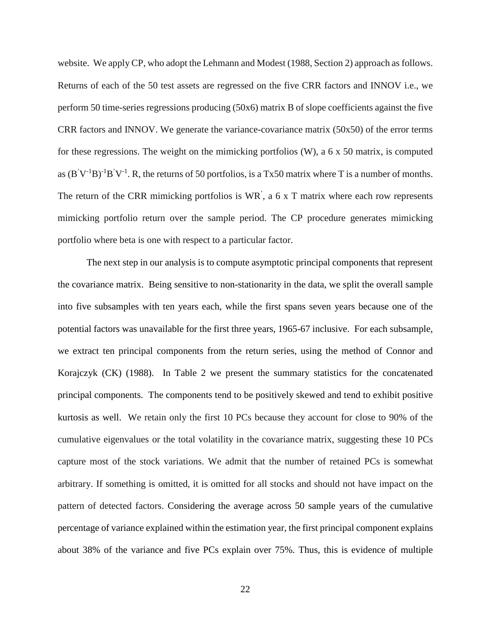website. We apply CP, who adopt the Lehmann and Modest (1988, Section 2) approach as follows. Returns of each of the 50 test assets are regressed on the five CRR factors and INNOV i.e., we perform 50 time-series regressions producing (50x6) matrix B of slope coefficients against the five CRR factors and INNOV. We generate the variance-covariance matrix (50x50) of the error terms for these regressions. The weight on the mimicking portfolios  $(W)$ , a 6 x 50 matrix, is computed as  $(B'V^{-1}B)^{-1}B'V^{-1}$ . R, the returns of 50 portfolios, is a Tx50 matrix where T is a number of months. The return of the CRR mimicking portfolios is WR<sup>'</sup>, a 6 x T matrix where each row represents mimicking portfolio return over the sample period. The CP procedure generates mimicking portfolio where beta is one with respect to a particular factor.

The next step in our analysis is to compute asymptotic principal components that represent the covariance matrix. Being sensitive to non-stationarity in the data, we split the overall sample into five subsamples with ten years each, while the first spans seven years because one of the potential factors was unavailable for the first three years, 1965-67 inclusive. For each subsample, we extract ten principal components from the return series, using the method of Connor and Korajczyk (CK) (1988). In Table 2 we present the summary statistics for the concatenated principal components. The components tend to be positively skewed and tend to exhibit positive kurtosis as well. We retain only the first 10 PCs because they account for close to 90% of the cumulative eigenvalues or the total volatility in the covariance matrix, suggesting these 10 PCs capture most of the stock variations. We admit that the number of retained PCs is somewhat arbitrary. If something is omitted, it is omitted for all stocks and should not have impact on the pattern of detected factors. Considering the average across 50 sample years of the cumulative percentage of variance explained within the estimation year, the first principal component explains about 38% of the variance and five PCs explain over 75%. Thus, this is evidence of multiple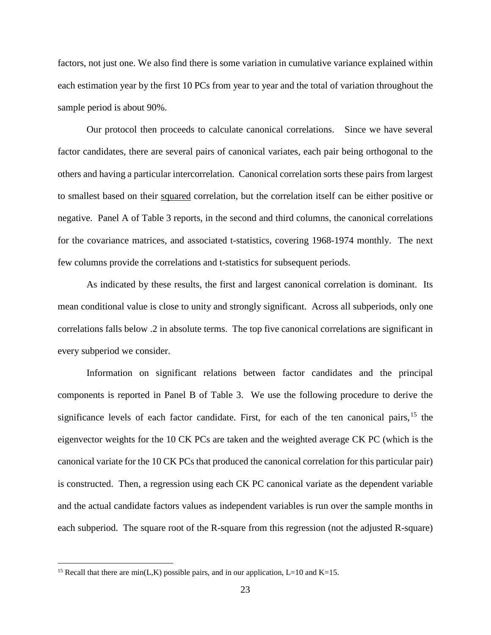factors, not just one. We also find there is some variation in cumulative variance explained within each estimation year by the first 10 PCs from year to year and the total of variation throughout the sample period is about 90%.

Our protocol then proceeds to calculate canonical correlations. Since we have several factor candidates, there are several pairs of canonical variates, each pair being orthogonal to the others and having a particular intercorrelation. Canonical correlation sorts these pairs from largest to smallest based on their squared correlation, but the correlation itself can be either positive or negative. Panel A of Table 3 reports, in the second and third columns, the canonical correlations for the covariance matrices, and associated t-statistics, covering 1968-1974 monthly. The next few columns provide the correlations and t-statistics for subsequent periods.

As indicated by these results, the first and largest canonical correlation is dominant. Its mean conditional value is close to unity and strongly significant. Across all subperiods, only one correlations falls below .2 in absolute terms. The top five canonical correlations are significant in every subperiod we consider.

Information on significant relations between factor candidates and the principal components is reported in Panel B of Table 3. We use the following procedure to derive the significance levels of each factor candidate. First, for each of the ten canonical pairs, <sup>[15](#page-25-0)</sup> the eigenvector weights for the 10 CK PCs are taken and the weighted average CK PC (which is the canonical variate for the 10 CK PCs that produced the canonical correlation for this particular pair) is constructed. Then, a regression using each CK PC canonical variate as the dependent variable and the actual candidate factors values as independent variables is run over the sample months in each subperiod. The square root of the R-square from this regression (not the adjusted R-square)

 $\overline{a}$ 

<span id="page-25-0"></span><sup>&</sup>lt;sup>15</sup> Recall that there are min(L,K) possible pairs, and in our application, L=10 and K=15.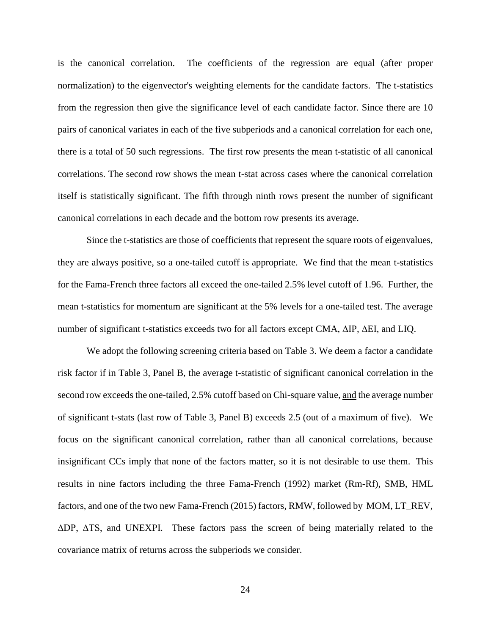is the canonical correlation. The coefficients of the regression are equal (after proper normalization) to the eigenvector's weighting elements for the candidate factors. The t-statistics from the regression then give the significance level of each candidate factor. Since there are 10 pairs of canonical variates in each of the five subperiods and a canonical correlation for each one, there is a total of 50 such regressions. The first row presents the mean t-statistic of all canonical correlations. The second row shows the mean t-stat across cases where the canonical correlation itself is statistically significant. The fifth through ninth rows present the number of significant canonical correlations in each decade and the bottom row presents its average.

Since the t-statistics are those of coefficients that represent the square roots of eigenvalues, they are always positive, so a one-tailed cutoff is appropriate. We find that the mean t-statistics for the Fama-French three factors all exceed the one-tailed 2.5% level cutoff of 1.96. Further, the mean t-statistics for momentum are significant at the 5% levels for a one-tailed test. The average number of significant t-statistics exceeds two for all factors except CMA, ∆IP, ∆EI, and LIQ.

We adopt the following screening criteria based on Table 3. We deem a factor a candidate risk factor if in Table 3, Panel B, the average t-statistic of significant canonical correlation in the second row exceeds the one-tailed, 2.5% cutoff based on Chi-square value, and the average number of significant t-stats (last row of Table 3, Panel B) exceeds 2.5 (out of a maximum of five). We focus on the significant canonical correlation, rather than all canonical correlations, because insignificant CCs imply that none of the factors matter, so it is not desirable to use them. This results in nine factors including the three Fama-French (1992) market (Rm-Rf), SMB, HML factors, and one of the two new Fama-French (2015) factors, RMW, followed by MOM, LT\_REV, ∆DP, ∆TS, and UNEXPI. These factors pass the screen of being materially related to the covariance matrix of returns across the subperiods we consider.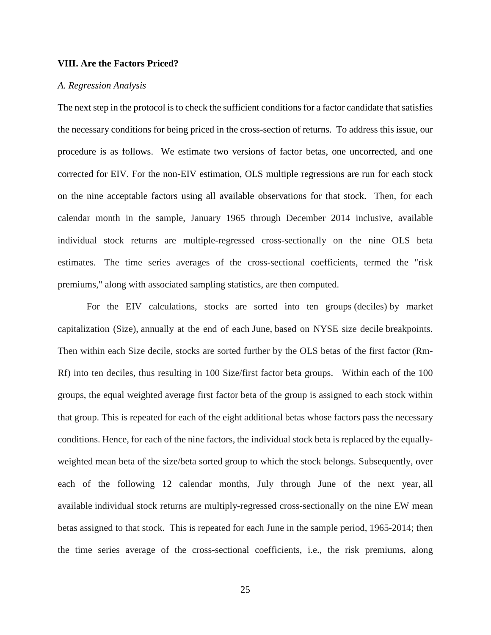#### **VIII. Are the Factors Priced?**

#### *A. Regression Analysis*

The next step in the protocol is to check the sufficient conditions for a factor candidate that satisfies the necessary conditions for being priced in the cross-section of returns. To address this issue, our procedure is as follows. We estimate two versions of factor betas, one uncorrected, and one corrected for EIV. For the non-EIV estimation, OLS multiple regressions are run for each stock on the nine acceptable factors using all available observations for that stock. Then, for each calendar month in the sample, January 1965 through December 2014 inclusive, available individual stock returns are multiple-regressed cross-sectionally on the nine OLS beta estimates. The time series averages of the cross-sectional coefficients, termed the "risk premiums," along with associated sampling statistics, are then computed.

For the EIV calculations, stocks are sorted into ten groups (deciles) by market capitalization (Size), annually at the end of each June, based on NYSE size decile breakpoints. Then within each Size decile, stocks are sorted further by the OLS betas of the first factor (Rm-Rf) into ten deciles, thus resulting in 100 Size/first factor beta groups. Within each of the 100 groups, the equal weighted average first factor beta of the group is assigned to each stock within that group. This is repeated for each of the eight additional betas whose factors pass the necessary conditions. Hence, for each of the nine factors, the individual stock beta is replaced by the equallyweighted mean beta of the size/beta sorted group to which the stock belongs. Subsequently, over each of the following 12 calendar months, July through June of the next year, all available individual stock returns are multiply-regressed cross-sectionally on the nine EW mean betas assigned to that stock. This is repeated for each June in the sample period, 1965-2014; then the time series average of the cross-sectional coefficients, i.e., the risk premiums, along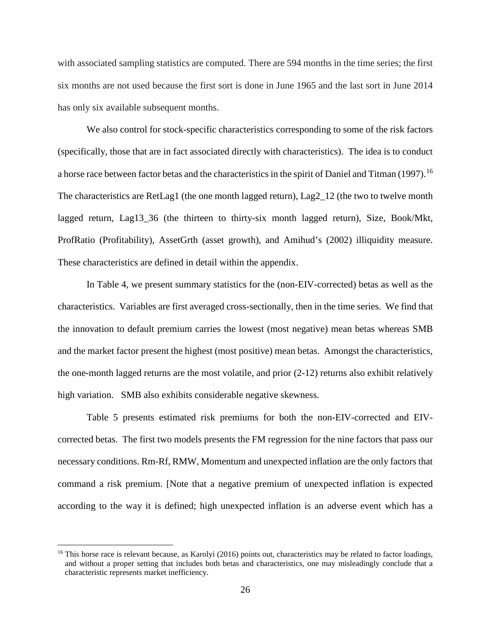with associated sampling statistics are computed. There are 594 months in the time series; the first six months are not used because the first sort is done in June 1965 and the last sort in June 2014 has only six available subsequent months.

We also control for stock-specific characteristics corresponding to some of the risk factors (specifically, those that are in fact associated directly with characteristics). The idea is to conduct a horse race between factor betas and the characteristics in the spirit of Daniel and Titman (1997).<sup>[16](#page-28-0)</sup> The characteristics are RetLag1 (the one month lagged return), Lag2\_12 (the two to twelve month lagged return, Lag13\_36 (the thirteen to thirty-six month lagged return), Size, Book/Mkt, ProfRatio (Profitability), AssetGrth (asset growth), and Amihud's (2002) illiquidity measure. These characteristics are defined in detail within the appendix.

In Table 4, we present summary statistics for the (non-EIV-corrected) betas as well as the characteristics. Variables are first averaged cross-sectionally, then in the time series. We find that the innovation to default premium carries the lowest (most negative) mean betas whereas SMB and the market factor present the highest (most positive) mean betas. Amongst the characteristics, the one-month lagged returns are the most volatile, and prior (2-12) returns also exhibit relatively high variation. SMB also exhibits considerable negative skewness.

Table 5 presents estimated risk premiums for both the non-EIV-corrected and EIVcorrected betas. The first two models presents the FM regression for the nine factors that pass our necessary conditions. Rm-Rf, RMW, Momentum and unexpected inflation are the only factors that command a risk premium. [Note that a negative premium of unexpected inflation is expected according to the way it is defined; high unexpected inflation is an adverse event which has a

 $\overline{a}$ 

<span id="page-28-0"></span> $16$  This horse race is relevant because, as Karolyi (2016) points out, characteristics may be related to factor loadings, and without a proper setting that includes both betas and characteristics, one may misleadingly conclude that a characteristic represents market inefficiency.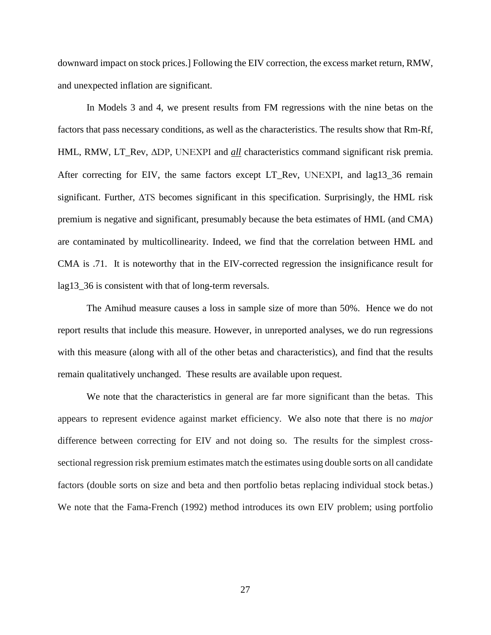downward impact on stock prices.] Following the EIV correction, the excess market return, RMW, and unexpected inflation are significant.

In Models 3 and 4, we present results from FM regressions with the nine betas on the factors that pass necessary conditions, as well as the characteristics. The results show that Rm-Rf, HML, RMW, LT\_Rev, ∆DP, UNEXPI and *all* characteristics command significant risk premia. After correcting for EIV, the same factors except LT\_Rev, UNEXPI, and lag13\_36 remain significant. Further, ∆TS becomes significant in this specification. Surprisingly, the HML risk premium is negative and significant, presumably because the beta estimates of HML (and CMA) are contaminated by multicollinearity. Indeed, we find that the correlation between HML and CMA is .71. It is noteworthy that in the EIV-corrected regression the insignificance result for lag13\_36 is consistent with that of long-term reversals.

The Amihud measure causes a loss in sample size of more than 50%. Hence we do not report results that include this measure. However, in unreported analyses, we do run regressions with this measure (along with all of the other betas and characteristics), and find that the results remain qualitatively unchanged. These results are available upon request.

We note that the characteristics in general are far more significant than the betas. This appears to represent evidence against market efficiency. We also note that there is no *major* difference between correcting for EIV and not doing so. The results for the simplest crosssectional regression risk premium estimates match the estimates using double sorts on all candidate factors (double sorts on size and beta and then portfolio betas replacing individual stock betas.) We note that the Fama-French (1992) method introduces its own EIV problem; using portfolio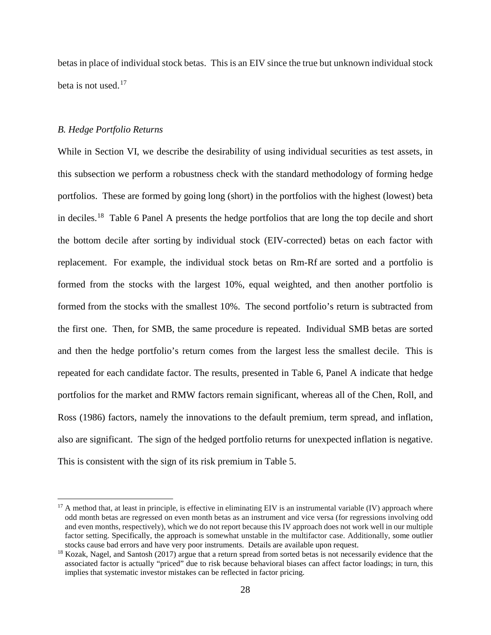betas in place of individual stock betas. This is an EIV since the true but unknown individual stock beta is not used.[17](#page-30-0)

#### *B. Hedge Portfolio Returns*

 $\overline{a}$ 

While in Section VI, we describe the desirability of using individual securities as test assets, in this subsection we perform a robustness check with the standard methodology of forming hedge portfolios. These are formed by going long (short) in the portfolios with the highest (lowest) beta in deciles.[18](#page-30-1) Table 6 Panel A presents the hedge portfolios that are long the top decile and short the bottom decile after sorting by individual stock (EIV-corrected) betas on each factor with replacement. For example, the individual stock betas on Rm-Rf are sorted and a portfolio is formed from the stocks with the largest 10%, equal weighted, and then another portfolio is formed from the stocks with the smallest 10%. The second portfolio's return is subtracted from the first one. Then, for SMB, the same procedure is repeated. Individual SMB betas are sorted and then the hedge portfolio's return comes from the largest less the smallest decile. This is repeated for each candidate factor. The results, presented in Table 6, Panel A indicate that hedge portfolios for the market and RMW factors remain significant, whereas all of the Chen, Roll, and Ross (1986) factors, namely the innovations to the default premium, term spread, and inflation, also are significant. The sign of the hedged portfolio returns for unexpected inflation is negative. This is consistent with the sign of its risk premium in Table 5.

<span id="page-30-0"></span><sup>&</sup>lt;sup>17</sup> A method that, at least in principle, is effective in eliminating EIV is an instrumental variable (IV) approach where odd month betas are regressed on even month betas as an instrument and vice versa (for regressions involving odd and even months, respectively), which we do not report because this IV approach does not work well in our multiple factor setting. Specifically, the approach is somewhat unstable in the multifactor case. Additionally, some outlier stocks cause bad errors and have very poor instruments. Details are available upon request.

<span id="page-30-1"></span><sup>&</sup>lt;sup>18</sup> Kozak, Nagel, and Santosh (2017) argue that a return spread from sorted betas is not necessarily evidence that the associated factor is actually "priced" due to risk because behavioral biases can affect factor loadings; in turn, this implies that systematic investor mistakes can be reflected in factor pricing.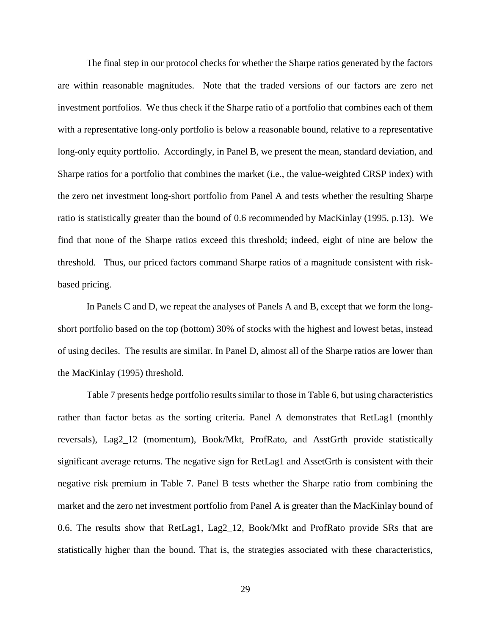The final step in our protocol checks for whether the Sharpe ratios generated by the factors are within reasonable magnitudes. Note that the traded versions of our factors are zero net investment portfolios. We thus check if the Sharpe ratio of a portfolio that combines each of them with a representative long-only portfolio is below a reasonable bound, relative to a representative long-only equity portfolio. Accordingly, in Panel B, we present the mean, standard deviation, and Sharpe ratios for a portfolio that combines the market (i.e., the value-weighted CRSP index) with the zero net investment long-short portfolio from Panel A and tests whether the resulting Sharpe ratio is statistically greater than the bound of 0.6 recommended by MacKinlay (1995, p.13). We find that none of the Sharpe ratios exceed this threshold; indeed, eight of nine are below the threshold. Thus, our priced factors command Sharpe ratios of a magnitude consistent with riskbased pricing.

In Panels C and D, we repeat the analyses of Panels A and B, except that we form the longshort portfolio based on the top (bottom) 30% of stocks with the highest and lowest betas, instead of using deciles. The results are similar. In Panel D, almost all of the Sharpe ratios are lower than the MacKinlay (1995) threshold.

Table 7 presents hedge portfolio results similar to those in Table 6, but using characteristics rather than factor betas as the sorting criteria. Panel A demonstrates that RetLag1 (monthly reversals), Lag2\_12 (momentum), Book/Mkt, ProfRato, and AsstGrth provide statistically significant average returns. The negative sign for RetLag1 and AssetGrth is consistent with their negative risk premium in Table 7. Panel B tests whether the Sharpe ratio from combining the market and the zero net investment portfolio from Panel A is greater than the MacKinlay bound of 0.6. The results show that RetLag1, Lag2\_12, Book/Mkt and ProfRato provide SRs that are statistically higher than the bound. That is, the strategies associated with these characteristics,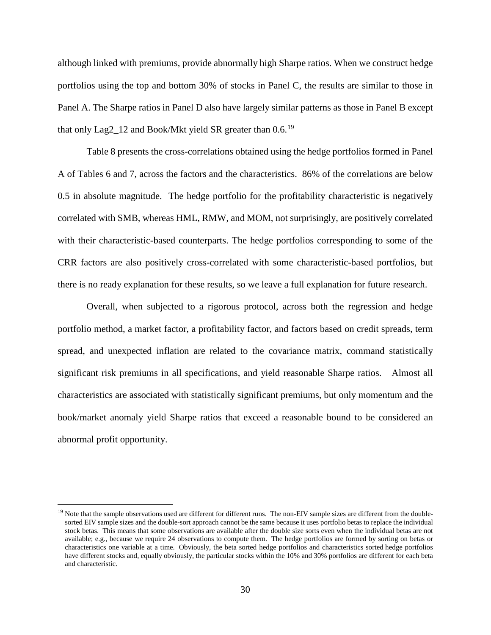although linked with premiums, provide abnormally high Sharpe ratios. When we construct hedge portfolios using the top and bottom 30% of stocks in Panel C, the results are similar to those in Panel A. The Sharpe ratios in Panel D also have largely similar patterns as those in Panel B except that only Lag2\_12 and Book/Mkt yield SR greater than 0.6.<sup>[19](#page-32-0)</sup>

Table 8 presents the cross-correlations obtained using the hedge portfolios formed in Panel A of Tables 6 and 7, across the factors and the characteristics. 86% of the correlations are below 0.5 in absolute magnitude. The hedge portfolio for the profitability characteristic is negatively correlated with SMB, whereas HML, RMW, and MOM, not surprisingly, are positively correlated with their characteristic-based counterparts. The hedge portfolios corresponding to some of the CRR factors are also positively cross-correlated with some characteristic-based portfolios, but there is no ready explanation for these results, so we leave a full explanation for future research.

Overall, when subjected to a rigorous protocol, across both the regression and hedge portfolio method, a market factor, a profitability factor, and factors based on credit spreads, term spread, and unexpected inflation are related to the covariance matrix, command statistically significant risk premiums in all specifications, and yield reasonable Sharpe ratios. Almost all characteristics are associated with statistically significant premiums, but only momentum and the book/market anomaly yield Sharpe ratios that exceed a reasonable bound to be considered an abnormal profit opportunity.

 $\overline{a}$ 

<span id="page-32-0"></span><sup>&</sup>lt;sup>19</sup> Note that the sample observations used are different for different runs. The non-EIV sample sizes are different from the doublesorted EIV sample sizes and the double-sort approach cannot be the same because it uses portfolio betas to replace the individual stock betas. This means that some observations are available after the double size sorts even when the individual betas are not available; e.g., because we require 24 observations to compute them. The hedge portfolios are formed by sorting on betas or characteristics one variable at a time. Obviously, the beta sorted hedge portfolios and characteristics sorted hedge portfolios have different stocks and, equally obviously, the particular stocks within the 10% and 30% portfolios are different for each beta and characteristic.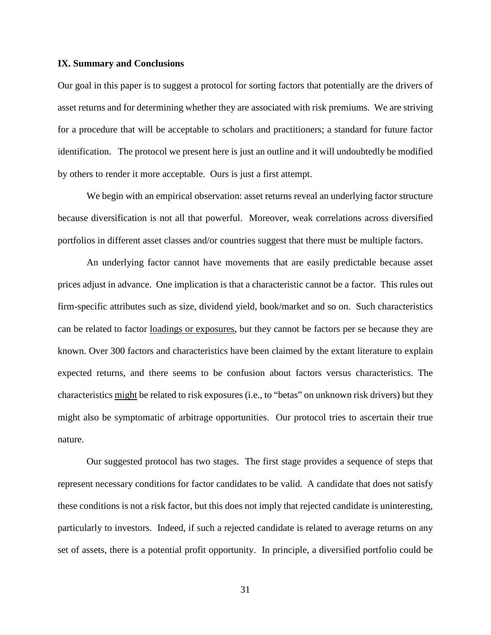#### **IX. Summary and Conclusions**

Our goal in this paper is to suggest a protocol for sorting factors that potentially are the drivers of asset returns and for determining whether they are associated with risk premiums. We are striving for a procedure that will be acceptable to scholars and practitioners; a standard for future factor identification. The protocol we present here is just an outline and it will undoubtedly be modified by others to render it more acceptable. Ours is just a first attempt.

We begin with an empirical observation: asset returns reveal an underlying factor structure because diversification is not all that powerful. Moreover, weak correlations across diversified portfolios in different asset classes and/or countries suggest that there must be multiple factors.

An underlying factor cannot have movements that are easily predictable because asset prices adjust in advance. One implication is that a characteristic cannot be a factor. This rules out firm-specific attributes such as size, dividend yield, book/market and so on. Such characteristics can be related to factor loadings or exposures, but they cannot be factors per se because they are known. Over 300 factors and characteristics have been claimed by the extant literature to explain expected returns, and there seems to be confusion about factors versus characteristics. The characteristics might be related to risk exposures (i.e., to "betas" on unknown risk drivers) but they might also be symptomatic of arbitrage opportunities. Our protocol tries to ascertain their true nature.

Our suggested protocol has two stages. The first stage provides a sequence of steps that represent necessary conditions for factor candidates to be valid. A candidate that does not satisfy these conditions is not a risk factor, but this does not imply that rejected candidate is uninteresting, particularly to investors. Indeed, if such a rejected candidate is related to average returns on any set of assets, there is a potential profit opportunity. In principle, a diversified portfolio could be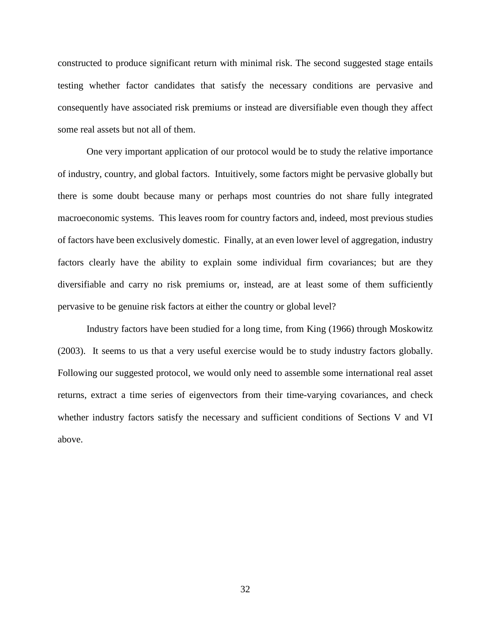constructed to produce significant return with minimal risk. The second suggested stage entails testing whether factor candidates that satisfy the necessary conditions are pervasive and consequently have associated risk premiums or instead are diversifiable even though they affect some real assets but not all of them.

One very important application of our protocol would be to study the relative importance of industry, country, and global factors. Intuitively, some factors might be pervasive globally but there is some doubt because many or perhaps most countries do not share fully integrated macroeconomic systems. This leaves room for country factors and, indeed, most previous studies of factors have been exclusively domestic. Finally, at an even lower level of aggregation, industry factors clearly have the ability to explain some individual firm covariances; but are they diversifiable and carry no risk premiums or, instead, are at least some of them sufficiently pervasive to be genuine risk factors at either the country or global level?

Industry factors have been studied for a long time, from King (1966) through Moskowitz (2003). It seems to us that a very useful exercise would be to study industry factors globally. Following our suggested protocol, we would only need to assemble some international real asset returns, extract a time series of eigenvectors from their time-varying covariances, and check whether industry factors satisfy the necessary and sufficient conditions of Sections V and VI above.

32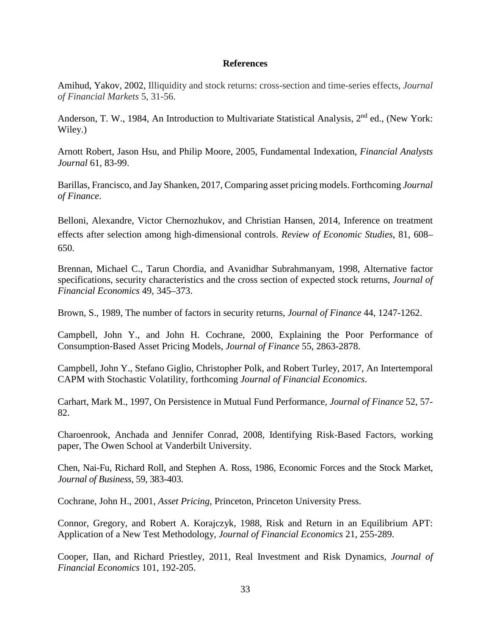### **References**

Amihud, Yakov, 2002, Illiquidity and stock returns: cross-section and time-series effects, *Journal of Financial Markets* 5, 31-56.

Anderson, T. W., 1984, An Introduction to Multivariate Statistical Analysis, 2<sup>nd</sup> ed., (New York: Wiley.)

Arnott Robert, Jason Hsu, and Philip Moore, 2005, Fundamental Indexation*, Financial Analysts Journal* 61, 83-99.

Barillas, Francisco, and Jay Shanken, 2017, Comparing asset pricing models. Forthcoming *Journal of Finance*.

Belloni, Alexandre, Victor Chernozhukov, and Christian Hansen, 2014, Inference on treatment effects after selection among high-dimensional controls. *Review of Economic Studies*, 81, 608– 650.

Brennan, Michael C., Tarun Chordia, and Avanidhar Subrahmanyam, 1998, Alternative factor specifications, security characteristics and the cross section of expected stock returns, *Journal of Financial Economics* 49, 345–373.

Brown, S., 1989, The number of factors in security returns, *Journal of Finance* 44, 1247-1262.

Campbell, John Y., and John H. Cochrane, 2000, Explaining the Poor Performance of Consumption‐Based Asset Pricing Models, *Journal of Finance* 55, 2863-2878.

Campbell, John Y., Stefano Giglio, Christopher Polk, and Robert Turley, 2017, An Intertemporal CAPM with Stochastic Volatility, forthcoming *Journal of Financial Economics*.

Carhart, Mark M., 1997, On Persistence in Mutual Fund Performance, *Journal of Finance* 52, 57- 82.

Charoenrook, Anchada and Jennifer Conrad, 2008, Identifying Risk-Based Factors, working paper, The Owen School at Vanderbilt University.

Chen, Nai-Fu, Richard Roll, and Stephen A. Ross, 1986, Economic Forces and the Stock Market, *Journal of Business*, 59, 383-403.

Cochrane, John H., 2001, *Asset Pricing*, Princeton, Princeton University Press.

Connor, Gregory, and Robert A. Korajczyk, 1988, Risk and Return in an Equilibrium APT: Application of a New Test Methodology, *Journal of Financial Economics* 21, 255-289.

Cooper, IIan, and Richard Priestley, 2011, Real Investment and Risk Dynamics, *Journal of Financial Economics* 101, 192-205.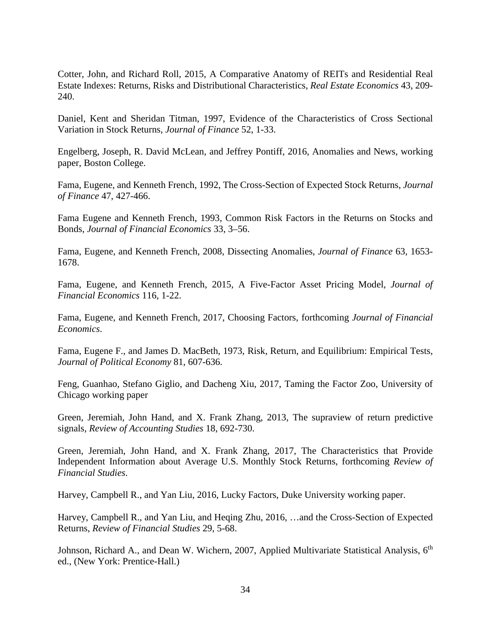Cotter, John, and Richard Roll, 2015, A Comparative Anatomy of REITs and Residential Real Estate Indexes: Returns, Risks and Distributional Characteristics, *Real Estate Economics* 43, 209- 240.

Daniel, Kent and Sheridan Titman, 1997, Evidence of the Characteristics of Cross Sectional Variation in Stock Returns, *Journal of Finance* 52, 1-33.

Engelberg, Joseph, R. David McLean, and Jeffrey Pontiff, 2016, Anomalies and News, working paper, Boston College.

Fama, Eugene, and Kenneth French, 1992, The Cross-Section of Expected Stock Returns, *Journal of Finance* 47, 427-466.

Fama Eugene and Kenneth French, 1993, Common Risk Factors in the Returns on Stocks and Bonds, *Journal of Financial Economics* 33, 3–56.

Fama, Eugene, and Kenneth French, 2008, Dissecting Anomalies, *Journal of Finance* 63, 1653- 1678.

Fama, Eugene, and Kenneth French, 2015, A Five-Factor Asset Pricing Model, *Journal of Financial Economics* 116, 1-22.

Fama, Eugene, and Kenneth French, 2017, Choosing Factors, forthcoming *Journal of Financial Economics*.

Fama, Eugene F., and James D. MacBeth, 1973, Risk, Return, and Equilibrium: Empirical Tests, *Journal of Political Economy* 81, 607-636.

Feng, Guanhao, Stefano Giglio, and Dacheng Xiu, 2017, Taming the Factor Zoo, University of Chicago working paper

Green, Jeremiah, John Hand, and X. Frank Zhang, 2013, The supraview of return predictive signals, *Review of Accounting Studies* 18, 692-730.

Green, Jeremiah, John Hand, and X. Frank Zhang, 2017, The Characteristics that Provide Independent Information about Average U.S. Monthly Stock Returns, forthcoming *Review of Financial Studies*.

Harvey, Campbell R., and Yan Liu, 2016, Lucky Factors, Duke University working paper.

Harvey, Campbell R., and Yan Liu, and Heqing Zhu, 2016, …and the Cross-Section of Expected Returns, *Review of Financial Studies* 29, 5-68.

Johnson, Richard A., and Dean W. Wichern, 2007, Applied Multivariate Statistical Analysis, 6<sup>th</sup> ed., (New York: Prentice-Hall.)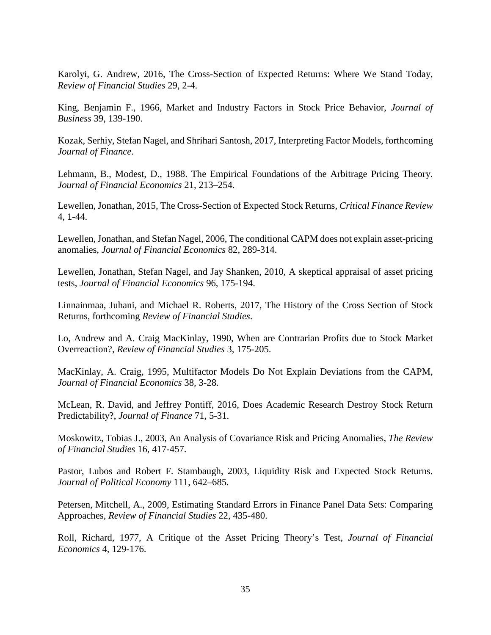Karolyi, G. Andrew, 2016, The Cross-Section of Expected Returns: Where We Stand Today, *Review of Financial Studies* 29, 2-4.

King, Benjamin F., 1966, Market and Industry Factors in Stock Price Behavior, *Journal of Business* 39, 139-190.

Kozak, Serhiy, Stefan Nagel, and Shrihari Santosh, 2017, Interpreting Factor Models, forthcoming *Journal of Finance*.

Lehmann, B., Modest, D., 1988. The Empirical Foundations of the Arbitrage Pricing Theory. *Journal of Financial Economics* 21, 213–254.

Lewellen, Jonathan, 2015, The Cross-Section of Expected Stock Returns, *Critical Finance Review* 4, 1-44.

Lewellen, Jonathan, and Stefan Nagel, 2006, The conditional CAPM does not explain asset-pricing anomalies, *Journal of Financial Economics* 82, 289-314.

Lewellen, Jonathan, Stefan Nagel, and Jay Shanken, 2010, A skeptical appraisal of asset pricing tests, *Journal of Financial Economics* 96, 175-194.

Linnainmaa, Juhani, and Michael R. Roberts, 2017, The History of the Cross Section of Stock Returns, forthcoming *Review of Financial Studies*.

Lo, Andrew and A. Craig MacKinlay, 1990, When are Contrarian Profits due to Stock Market Overreaction?, *Review of Financial Studies* 3, 175-205.

MacKinlay, A. Craig, 1995, Multifactor Models Do Not Explain Deviations from the CAPM, *Journal of Financial Economics* 38, 3-28.

McLean, R. David, and Jeffrey Pontiff, 2016, Does Academic Research Destroy Stock Return Predictability?, *Journal of Finance* 71, 5-31.

Moskowitz, Tobias J., 2003, An Analysis of Covariance Risk and Pricing Anomalies, *The Review of Financial Studies* 16, 417-457.

Pastor, Lubos and Robert F. Stambaugh, 2003, Liquidity Risk and Expected Stock Returns. *Journal of Political Economy* 111, 642–685.

Petersen, Mitchell, A., 2009, Estimating Standard Errors in Finance Panel Data Sets: Comparing Approaches, *Review of Financial Studies* 22, 435-480.

Roll, Richard, 1977, A Critique of the Asset Pricing Theory's Test, *Journal of Financial Economics* 4, 129-176.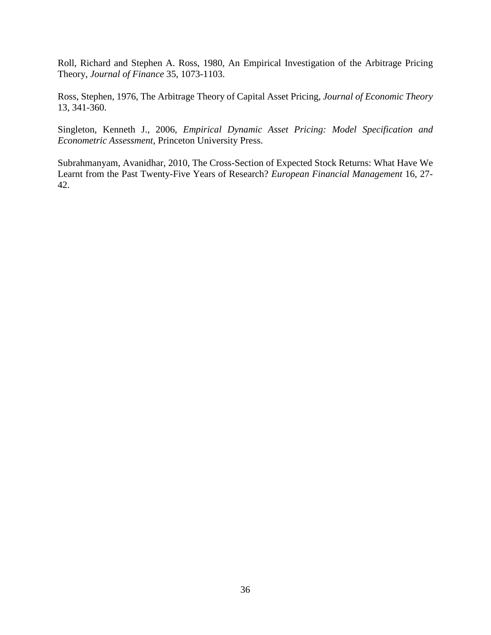Roll, Richard and Stephen A. Ross, 1980, An Empirical Investigation of the Arbitrage Pricing Theory, *Journal of Finance* 35, 1073-1103.

Ross, Stephen, 1976, The Arbitrage Theory of Capital Asset Pricing, *Journal of Economic Theory* 13, 341-360.

Singleton, Kenneth J., 2006, *Empirical Dynamic Asset Pricing: Model Specification and Econometric Assessment*, Princeton University Press.

Subrahmanyam, Avanidhar, 2010, The Cross-Section of Expected Stock Returns: What Have We Learnt from the Past Twenty-Five Years of Research? *European Financial Management* 16, 27- 42.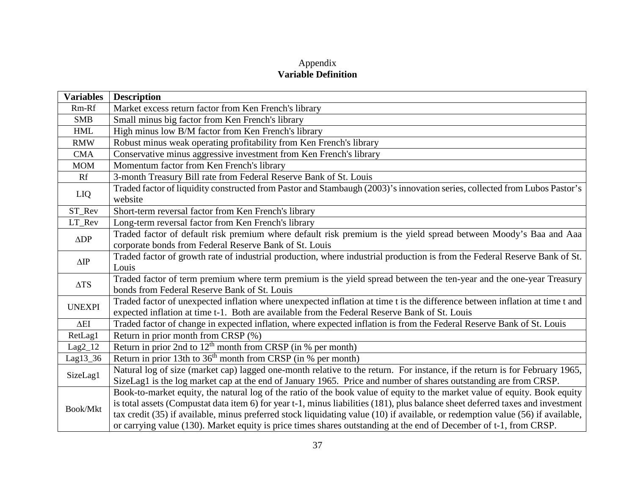## Appendix **Variable Definition**

| <b>Variables</b> | <b>Description</b>                                                                                                              |
|------------------|---------------------------------------------------------------------------------------------------------------------------------|
| Rm-Rf            | Market excess return factor from Ken French's library                                                                           |
| <b>SMB</b>       | Small minus big factor from Ken French's library                                                                                |
| <b>HML</b>       | High minus low B/M factor from Ken French's library                                                                             |
| <b>RMW</b>       | Robust minus weak operating profitability from Ken French's library                                                             |
| <b>CMA</b>       | Conservative minus aggressive investment from Ken French's library                                                              |
| <b>MOM</b>       | Momentum factor from Ken French's library                                                                                       |
| Rf               | 3-month Treasury Bill rate from Federal Reserve Bank of St. Louis                                                               |
|                  | Traded factor of liquidity constructed from Pastor and Stambaugh (2003)'s innovation series, collected from Lubos Pastor's      |
| LIQ              | website                                                                                                                         |
| $\mbox{ST\_Rev}$ | Short-term reversal factor from Ken French's library                                                                            |
| LT_Rev           | Long-term reversal factor from Ken French's library                                                                             |
| $\triangle DP$   | Traded factor of default risk premium where default risk premium is the yield spread between Moody's Baa and Aaa                |
|                  | corporate bonds from Federal Reserve Bank of St. Louis                                                                          |
| $\Delta IP$      | Traded factor of growth rate of industrial production, where industrial production is from the Federal Reserve Bank of St.      |
|                  | Louis                                                                                                                           |
| $\Delta TS$      | Traded factor of term premium where term premium is the yield spread between the ten-year and the one-year Treasury             |
|                  | bonds from Federal Reserve Bank of St. Louis                                                                                    |
| <b>UNEXPI</b>    | Traded factor of unexpected inflation where unexpected inflation at time t is the difference between inflation at time t and    |
|                  | expected inflation at time t-1. Both are available from the Federal Reserve Bank of St. Louis                                   |
| $\Delta EI$      | Traded factor of change in expected inflation, where expected inflation is from the Federal Reserve Bank of St. Louis           |
| RetLag1          | Return in prior month from CRSP (%)                                                                                             |
| $Lag2_12$        | Return in prior 2nd to $12th$ month from CRSP (in % per month)                                                                  |
| Lag13_36         | Return in prior 13th to $36th$ month from CRSP (in % per month)                                                                 |
| SizeLag1         | Natural log of size (market cap) lagged one-month relative to the return. For instance, if the return is for February 1965,     |
|                  | SizeLag1 is the log market cap at the end of January 1965. Price and number of shares outstanding are from CRSP.                |
|                  | Book-to-market equity, the natural log of the ratio of the book value of equity to the market value of equity. Book equity      |
| Book/Mkt         | is total assets (Compustat data item 6) for year t-1, minus liabilities (181), plus balance sheet deferred taxes and investment |
|                  | tax credit (35) if available, minus preferred stock liquidating value (10) if available, or redemption value (56) if available, |
|                  | or carrying value (130). Market equity is price times shares outstanding at the end of December of t-1, from CRSP.              |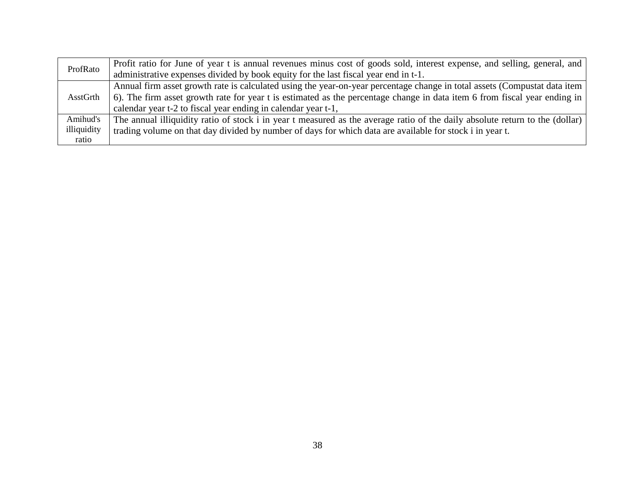| ProfRato    | Profit ratio for June of year t is annual revenues minus cost of goods sold, interest expense, and selling, general, and     |
|-------------|------------------------------------------------------------------------------------------------------------------------------|
|             | administrative expenses divided by book equity for the last fiscal year end in t-1.                                          |
|             | Annual firm asset growth rate is calculated using the year-on-year percentage change in total assets (Compustat data item    |
| AsstGrth    | 6). The firm asset growth rate for year t is estimated as the percentage change in data item 6 from fiscal year ending in    |
|             | calendar year t-2 to fiscal year ending in calendar year t-1,                                                                |
| Amihud's    | The annual illiquidity ratio of stock i in year t measured as the average ratio of the daily absolute return to the (dollar) |
| illiquidity | trading volume on that day divided by number of days for which data are available for stock i in year t.                     |
| ratio       |                                                                                                                              |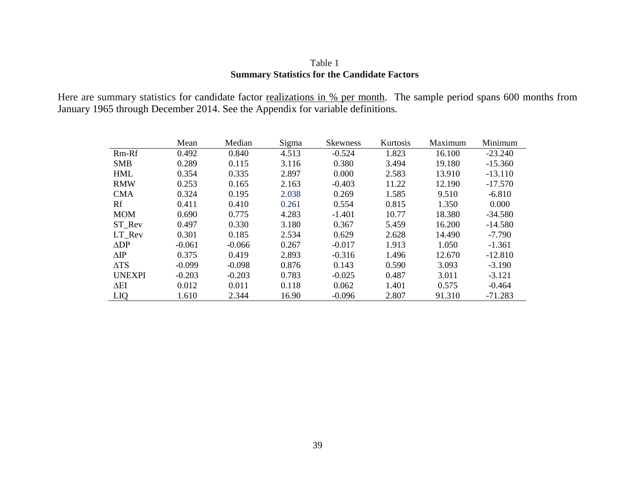## Table 1 **Summary Statistics for the Candidate Factors**

Here are summary statistics for candidate factor realizations in % per month. The sample period spans 600 months from January 1965 through December 2014. See the Appendix for variable definitions.

|                | Mean     | Median   | Sigma | <b>Skewness</b> | Kurtosis | Maximum | Minimum   |
|----------------|----------|----------|-------|-----------------|----------|---------|-----------|
| Rm-Rf          | 0.492    | 0.840    | 4.513 | $-0.524$        | 1.823    | 16.100  | $-23.240$ |
| <b>SMB</b>     | 0.289    | 0.115    | 3.116 | 0.380           | 3.494    | 19.180  | $-15.360$ |
| <b>HML</b>     | 0.354    | 0.335    | 2.897 | 0.000           | 2.583    | 13.910  | $-13.110$ |
| <b>RMW</b>     | 0.253    | 0.165    | 2.163 | $-0.403$        | 11.22    | 12.190  | $-17.570$ |
| <b>CMA</b>     | 0.324    | 0.195    | 2.038 | 0.269           | 1.585    | 9.510   | $-6.810$  |
| Rf             | 0.411    | 0.410    | 0.261 | 0.554           | 0.815    | 1.350   | 0.000     |
| <b>MOM</b>     | 0.690    | 0.775    | 4.283 | $-1.401$        | 10.77    | 18.380  | $-34.580$ |
| ST_Rev         | 0.497    | 0.330    | 3.180 | 0.367           | 5.459    | 16.200  | $-14.580$ |
| LT Rev         | 0.301    | 0.185    | 2.534 | 0.629           | 2.628    | 14.490  | $-7.790$  |
| $\triangle DP$ | $-0.061$ | $-0.066$ | 0.267 | $-0.017$        | 1.913    | 1.050   | $-1.361$  |
| $\Delta$ IP    | 0.375    | 0.419    | 2.893 | $-0.316$        | 1.496    | 12.670  | $-12.810$ |
| $\Delta TS$    | $-0.099$ | $-0.098$ | 0.876 | 0.143           | 0.590    | 3.093   | $-3.190$  |
| <b>UNEXPI</b>  | $-0.203$ | $-0.203$ | 0.783 | $-0.025$        | 0.487    | 3.011   | $-3.121$  |
| $\Delta$ EI    | 0.012    | 0.011    | 0.118 | 0.062           | 1.401    | 0.575   | $-0.464$  |
| LIQ            | 1.610    | 2.344    | 16.90 | $-0.096$        | 2.807    | 91.310  | $-71.283$ |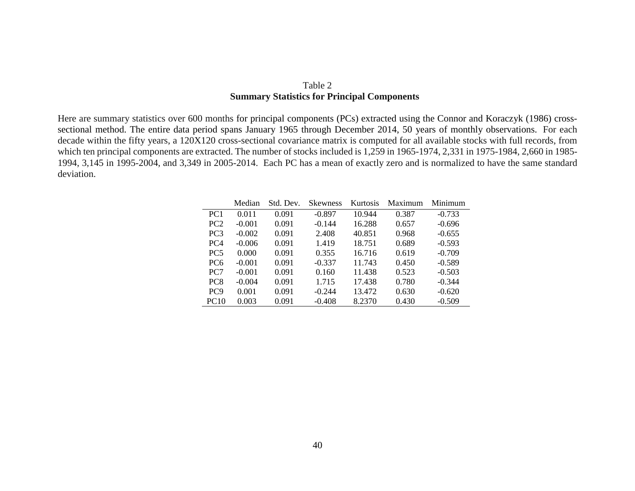## Table 2 **Summary Statistics for Principal Components**

Here are summary statistics over 600 months for principal components (PCs) extracted using the Connor and Koraczyk (1986) crosssectional method. The entire data period spans January 1965 through December 2014, 50 years of monthly observations. For each decade within the fifty years, a 120X120 cross-sectional covariance matrix is computed for all available stocks with full records, from which ten principal components are extracted. The number of stocks included is 1,259 in 1965-1974, 2,331 in 1975-1984, 2,660 in 1985- 1994, 3,145 in 1995-2004, and 3,349 in 2005-2014. Each PC has a mean of exactly zero and is normalized to have the same standard deviation.

|                 | Median   | Std. Dev. | <b>Skewness</b> | Kurtosis | Maximum | Minimum  |
|-----------------|----------|-----------|-----------------|----------|---------|----------|
| PC <sub>1</sub> | 0.011    | 0.091     | $-0.897$        | 10.944   | 0.387   | $-0.733$ |
| PC2             | $-0.001$ | 0.091     | $-0.144$        | 16.288   | 0.657   | $-0.696$ |
| PC <sub>3</sub> | $-0.002$ | 0.091     | 2.408           | 40.851   | 0.968   | $-0.655$ |
| PC <sub>4</sub> | $-0.006$ | 0.091     | 1.419           | 18.751   | 0.689   | $-0.593$ |
| PC <sub>5</sub> | 0.000    | 0.091     | 0.355           | 16.716   | 0.619   | $-0.709$ |
| PC <sub>6</sub> | $-0.001$ | 0.091     | $-0.337$        | 11.743   | 0.450   | $-0.589$ |
| PC <sub>7</sub> | $-0.001$ | 0.091     | 0.160           | 11.438   | 0.523   | $-0.503$ |
| PC <sub>8</sub> | $-0.004$ | 0.091     | 1.715           | 17.438   | 0.780   | $-0.344$ |
| PC <sub>9</sub> | 0.001    | 0.091     | $-0.244$        | 13.472   | 0.630   | $-0.620$ |
| <b>PC10</b>     | 0.003    | 0.091     | $-0.408$        | 8.2370   | 0.430   | $-0.509$ |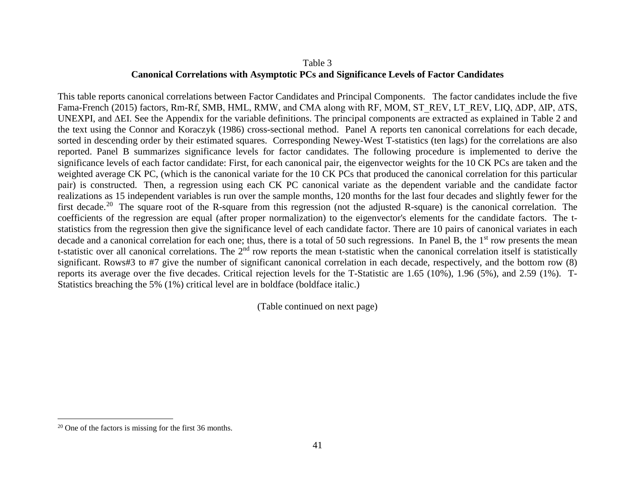## <span id="page-43-0"></span>Table 3 **Canonical Correlations with Asymptotic PCs and Significance Levels of Factor Candidates**

This table reports canonical correlations between Factor Candidates and Principal Components. The factor candidates include the five Fama-French (2015) factors, Rm-Rf, SMB, HML, RMW, and CMA along with RF, MOM, ST\_REV, LT\_REV, LIQ, ∆DP, ∆IP, ∆TS, UNEXPI, and ∆EI. See the Appendix for the variable definitions. The principal components are extracted as explained in Table 2 and the text using the Connor and Koraczyk (1986) cross-sectional method. Panel A reports ten canonical correlations for each decade, sorted in descending order by their estimated squares. Corresponding Newey-West T-statistics (ten lags) for the correlations are also reported. Panel B summarizes significance levels for factor candidates. The following procedure is implemented to derive the significance levels of each factor candidate: First, for each canonical pair, the eigenvector weights for the 10 CK PCs are taken and the weighted average CK PC, (which is the canonical variate for the 10 CK PCs that produced the canonical correlation for this particular pair) is constructed. Then, a regression using each CK PC canonical variate as the dependent variable and the candidate factor realizations as 15 independent variables is run over the sample months, 120 months for the last four decades and slightly fewer for the first decade.<sup>[20](#page-43-0)</sup> The square root of the R-square from this regression (not the adjusted R-square) is the canonical correlation. The coefficients of the regression are equal (after proper normalization) to the eigenvector's elements for the candidate factors. The tstatistics from the regression then give the significance level of each candidate factor. There are 10 pairs of canonical variates in each decade and a canonical correlation for each one; thus, there is a total of 50 such regressions. In Panel B, the  $1<sup>st</sup>$  row presents the mean t-statistic over all canonical correlations. The 2<sup>nd</sup> row reports the mean t-statistic when the canonical correlation itself is statistically significant. Rows#3 to #7 give the number of significant canonical correlation in each decade, respectively, and the bottom row (8) reports its average over the five decades. Critical rejection levels for the T-Statistic are 1.65 (10%), 1.96 (5%), and 2.59 (1%). T-Statistics breaching the 5% (1%) critical level are in boldface (boldface italic.)

(Table continued on next page)

 $\overline{a}$ 

<sup>20</sup> One of the factors is missing for the first 36 months.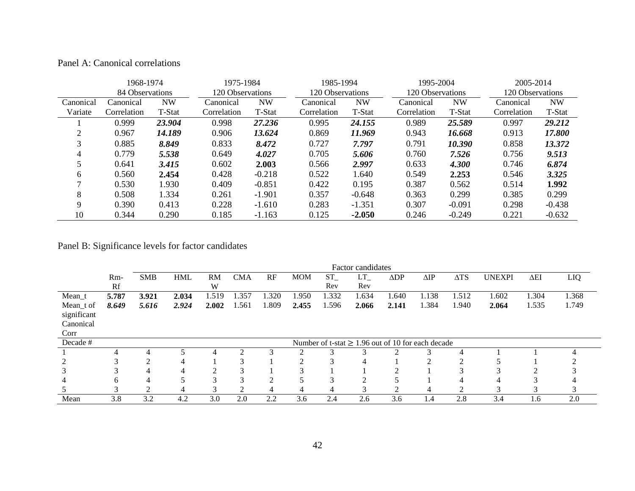|           | 1968-1974       |           | 1975-1984        |           | 1985-1994        |           | 1995-2004        |           | 2005-2014   |                  |  |
|-----------|-----------------|-----------|------------------|-----------|------------------|-----------|------------------|-----------|-------------|------------------|--|
|           | 84 Observations |           | 120 Observations |           | 120 Observations |           | 120 Observations |           |             | 120 Observations |  |
| Canonical | Canonical       | <b>NW</b> | Canonical        | <b>NW</b> | Canonical        | <b>NW</b> | Canonical        | <b>NW</b> | Canonical   | NW               |  |
| Variate   | Correlation     | T-Stat    | Correlation      | T-Stat    | Correlation      | T-Stat    | Correlation      | T-Stat    | Correlation | T-Stat           |  |
|           | 0.999           | 23.904    | 0.998            | 27.236    | 0.995            | 24.155    | 0.989            | 25.589    | 0.997       | 29.212           |  |
| ◠         | 0.967           | 14.189    | 0.906            | 13.624    | 0.869            | 11.969    | 0.943            | 16.668    | 0.913       | 17.800           |  |
|           | 0.885           | 8.849     | 0.833            | 8.472     | 0.727            | 7.797     | 0.791            | 10.390    | 0.858       | 13.372           |  |
| 4         | 0.779           | 5.538     | 0.649            | 4.027     | 0.705            | 5.606     | 0.760            | 7.526     | 0.756       | 9.513            |  |
|           | 0.641           | 3.415     | 0.602            | 2.003     | 0.566            | 2.997     | 0.633            | 4.300     | 0.746       | 6.874            |  |
| 6         | 0.560           | 2.454     | 0.428            | $-0.218$  | 0.522            | 1.640     | 0.549            | 2.253     | 0.546       | 3.325            |  |
|           | 0.530           | 1.930     | 0.409            | $-0.851$  | 0.422            | 0.195     | 0.387            | 0.562     | 0.514       | 1.992            |  |
| 8         | 0.508           | 1.334     | 0.261            | $-1.901$  | 0.357            | $-0.648$  | 0.363            | 0.299     | 0.385       | 0.299            |  |
| 9         | 0.390           | 0.413     | 0.228            | $-1.610$  | 0.283            | $-1.351$  | 0.307            | $-0.091$  | 0.298       | $-0.438$         |  |
| 10        | 0.344           | 0.290     | 0.185            | $-1.163$  | 0.125            | $-2.050$  | 0.246            | $-0.249$  | 0.221       | $-0.632$         |  |

# Panel B: Significance levels for factor candidates

|             |       | Factor candidates |            |       |            |                |            |       |                                                        |                |             |             |               |             |       |
|-------------|-------|-------------------|------------|-------|------------|----------------|------------|-------|--------------------------------------------------------|----------------|-------------|-------------|---------------|-------------|-------|
|             | Rm-   | <b>SMB</b>        | <b>HML</b> | RM    | <b>CMA</b> | RF             | <b>MOM</b> | $ST_$ | LT                                                     | $\triangle DP$ | $\Delta$ IP | $\Delta TS$ | <b>UNEXPI</b> | $\Delta EI$ | LIQ   |
|             | Rf    |                   |            | W     |            |                |            | Rev   | Rev                                                    |                |             |             |               |             |       |
| Mean_t      | 5.787 | 3.921             | 2.034      | 1.519 | .357       | 1.320          | .950       | .332  | 1.634                                                  | 640. ا         | 1.138       | 1.512       | 1.602         | .304        | 1.368 |
| Mean_t of   | 8.649 | 5.616             | 2.924      | 2.002 | .561       | 1.809          | 2.455      | .596  | 2.066                                                  | 2.141          | 1.384       | 1.940       | 2.064         | 1.535       | 1.749 |
| significant |       |                   |            |       |            |                |            |       |                                                        |                |             |             |               |             |       |
| Canonical   |       |                   |            |       |            |                |            |       |                                                        |                |             |             |               |             |       |
| Corr        |       |                   |            |       |            |                |            |       |                                                        |                |             |             |               |             |       |
| Decade #    |       |                   |            |       |            |                |            |       | Number of t-stat $\geq 1.96$ out of 10 for each decade |                |             |             |               |             |       |
|             |       |                   |            |       | Δ          |                |            | ◠     | ⌒                                                      | $\bigcap$      |             |             |               |             |       |
|             |       |                   |            |       |            |                |            | 3     | 4                                                      |                |             |             |               |             |       |
|             |       |                   |            | ◠     | $\sqrt{2}$ |                |            |       |                                                        |                |             |             |               |             |       |
|             | h.    | 4                 |            |       |            | ◠              |            | 3     | ◠                                                      |                |             | 4           | 4             |             |       |
|             | 3     | 2                 | 4          | 3     | $\bigcap$  | $\overline{4}$ | 4          | 4     | 3                                                      | 2              | 4           | 2           | 3             | 3           |       |
| Mean        | 3.8   | 3.2               | 4.2        | 3.0   | 2.0        | 2.2            | 3.6        | 2.4   | 2.6                                                    | 3.6            | 4.4         | 2.8         | 3.4           | 1.6         | 2.0   |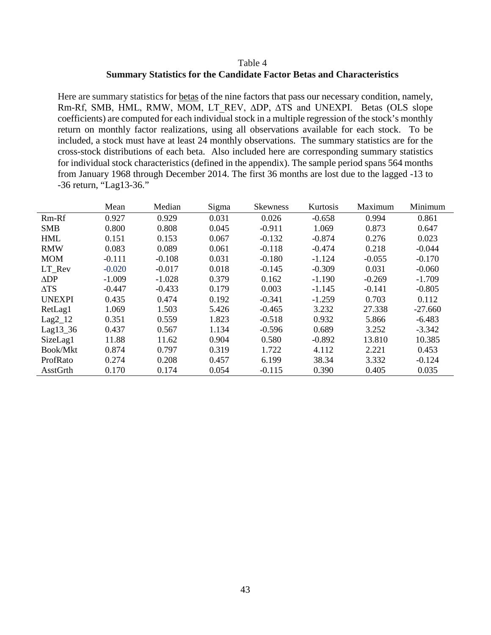## Table 4 **Summary Statistics for the Candidate Factor Betas and Characteristics**

Here are summary statistics for betas of the nine factors that pass our necessary condition, namely, Rm-Rf, SMB, HML, RMW, MOM, LT\_REV, ∆DP, ∆TS and UNEXPI. Betas (OLS slope coefficients) are computed for each individual stock in a multiple regression of the stock's monthly return on monthly factor realizations, using all observations available for each stock. To be included, a stock must have at least 24 monthly observations. The summary statistics are for the cross-stock distributions of each beta. Also included here are corresponding summary statistics for individual stock characteristics (defined in the appendix). The sample period spans 564 months from January 1968 through December 2014. The first 36 months are lost due to the lagged -13 to -36 return, "Lag13-36."

|                | Mean     | Median   | Sigma | <b>Skewness</b> | Kurtosis | Maximum  | Minimum   |
|----------------|----------|----------|-------|-----------------|----------|----------|-----------|
| Rm-Rf          | 0.927    | 0.929    | 0.031 | 0.026           | $-0.658$ | 0.994    | 0.861     |
| <b>SMB</b>     | 0.800    | 0.808    | 0.045 | $-0.911$        | 1.069    | 0.873    | 0.647     |
| <b>HML</b>     | 0.151    | 0.153    | 0.067 | $-0.132$        | $-0.874$ | 0.276    | 0.023     |
| <b>RMW</b>     | 0.083    | 0.089    | 0.061 | $-0.118$        | $-0.474$ | 0.218    | $-0.044$  |
| <b>MOM</b>     | $-0.111$ | $-0.108$ | 0.031 | $-0.180$        | $-1.124$ | $-0.055$ | $-0.170$  |
| LT Rev         | $-0.020$ | $-0.017$ | 0.018 | $-0.145$        | $-0.309$ | 0.031    | $-0.060$  |
| $\triangle DP$ | $-1.009$ | $-1.028$ | 0.379 | 0.162           | $-1.190$ | $-0.269$ | $-1.709$  |
| $\Delta TS$    | $-0.447$ | $-0.433$ | 0.179 | 0.003           | $-1.145$ | $-0.141$ | $-0.805$  |
| <b>UNEXPI</b>  | 0.435    | 0.474    | 0.192 | $-0.341$        | $-1.259$ | 0.703    | 0.112     |
| RetLag1        | 1.069    | 1.503    | 5.426 | $-0.465$        | 3.232    | 27.338   | $-27.660$ |
| $Lag2_12$      | 0.351    | 0.559    | 1.823 | $-0.518$        | 0.932    | 5.866    | $-6.483$  |
| Lag13_36       | 0.437    | 0.567    | 1.134 | $-0.596$        | 0.689    | 3.252    | $-3.342$  |
| SizeLag1       | 11.88    | 11.62    | 0.904 | 0.580           | $-0.892$ | 13.810   | 10.385    |
| Book/Mkt       | 0.874    | 0.797    | 0.319 | 1.722           | 4.112    | 2.221    | 0.453     |
| ProfRato       | 0.274    | 0.208    | 0.457 | 6.199           | 38.34    | 3.332    | $-0.124$  |
| AsstGrth       | 0.170    | 0.174    | 0.054 | $-0.115$        | 0.390    | 0.405    | 0.035     |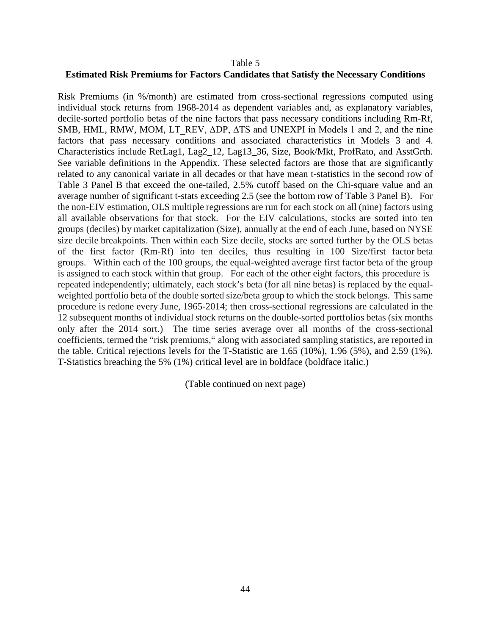#### Table 5

#### **Estimated Risk Premiums for Factors Candidates that Satisfy the Necessary Conditions**

Risk Premiums (in %/month) are estimated from cross-sectional regressions computed using individual stock returns from 1968-2014 as dependent variables and, as explanatory variables, decile-sorted portfolio betas of the nine factors that pass necessary conditions including Rm-Rf, SMB, HML, RMW, MOM, LT\_REV, ΔDP, ΔTS and UNEXPI in Models 1 and 2, and the nine factors that pass necessary conditions and associated characteristics in Models 3 and 4. Characteristics include RetLag1, Lag2\_12, Lag13\_36, Size, Book/Mkt, ProfRato, and AsstGrth. See variable definitions in the Appendix. These selected factors are those that are significantly related to any canonical variate in all decades or that have mean t-statistics in the second row of Table 3 Panel B that exceed the one-tailed, 2.5% cutoff based on the Chi-square value and an average number of significant t-stats exceeding 2.5 (see the bottom row of Table 3 Panel B). For the non-EIV estimation, OLS multiple regressions are run for each stock on all (nine) factors using all available observations for that stock. For the EIV calculations, stocks are sorted into ten groups (deciles) by market capitalization (Size), annually at the end of each June, based on NYSE size decile breakpoints. Then within each Size decile, stocks are sorted further by the OLS betas of the first factor (Rm-Rf) into ten deciles, thus resulting in 100 Size/first factor beta groups. Within each of the 100 groups, the equal-weighted average first factor beta of the group is assigned to each stock within that group. For each of the other eight factors, this procedure is repeated independently; ultimately, each stock's beta (for all nine betas) is replaced by the equalweighted portfolio beta of the double sorted size/beta group to which the stock belongs. This same procedure is redone every June, 1965-2014; then cross-sectional regressions are calculated in the 12 subsequent months of individual stock returns on the double-sorted portfolios betas (six months only after the 2014 sort.) The time series average over all months of the cross-sectional coefficients, termed the "risk premiums," along with associated sampling statistics, are reported in the table. Critical rejections levels for the T-Statistic are 1.65 (10%), 1.96 (5%), and 2.59 (1%). T-Statistics breaching the 5% (1%) critical level are in boldface (boldface italic.)

(Table continued on next page)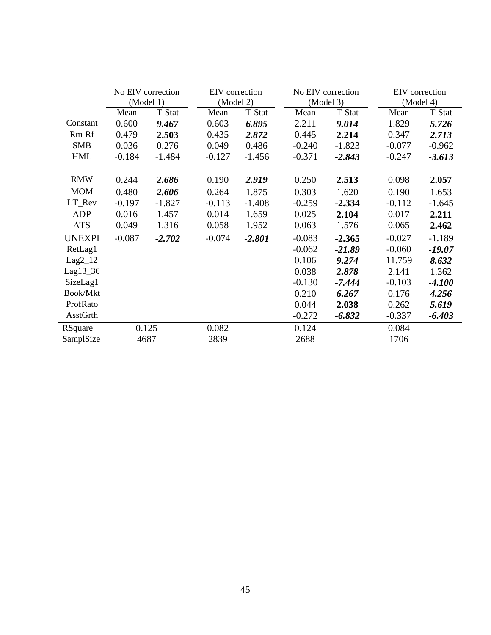|                 |          | No EIV correction | EIV correction |          |          | No EIV correction | EIV correction |          |  |
|-----------------|----------|-------------------|----------------|----------|----------|-------------------|----------------|----------|--|
|                 |          | (Model 1)         | (Model 2)      |          |          | (Model 3)         | (Model 4)      |          |  |
|                 | Mean     | T-Stat            | Mean           | T-Stat   | Mean     | T-Stat            | Mean           | T-Stat   |  |
| Constant        | 0.600    | 9.467             | 0.603          | 6.895    | 2.211    | 9.014             | 1.829          | 5.726    |  |
| Rm-Rf           | 0.479    | 2.503             | 0.435          | 2.872    | 0.445    | 2.214             | 0.347          | 2.713    |  |
| <b>SMB</b>      | 0.036    | 0.276             | 0.049          | 0.486    | $-0.240$ | $-1.823$          | $-0.077$       | $-0.962$ |  |
| <b>HML</b>      | $-0.184$ | $-1.484$          | $-0.127$       | $-1.456$ | $-0.371$ | $-2.843$          | $-0.247$       | $-3.613$ |  |
|                 |          |                   |                |          |          |                   |                |          |  |
| <b>RMW</b>      | 0.244    | 2.686             | 0.190          | 2.919    | 0.250    | 2.513             | 0.098          | 2.057    |  |
| <b>MOM</b>      | 0.480    | 2.606             | 0.264          | 1.875    | 0.303    | 1.620             | 0.190          | 1.653    |  |
| LT_Rev          | $-0.197$ | $-1.827$          | $-0.113$       | $-1.408$ | $-0.259$ | $-2.334$          | $-0.112$       | $-1.645$ |  |
| $\triangle DP$  | 0.016    | 1.457             | 0.014          | 1.659    | 0.025    | 2.104             | 0.017          | 2.211    |  |
| $\Delta TS$     | 0.049    | 1.316             | 0.058          | 1.952    | 0.063    | 1.576             | 0.065          | 2.462    |  |
| <b>UNEXPI</b>   | $-0.087$ | $-2.702$          | $-0.074$       | $-2.801$ | $-0.083$ | $-2.365$          | $-0.027$       | $-1.189$ |  |
| RetLag1         |          |                   |                |          | $-0.062$ | $-21.89$          | $-0.060$       | $-19.07$ |  |
| $Lag2_12$       |          |                   |                |          | 0.106    | 9.274             | 11.759         | 8.632    |  |
| Lag13_36        |          |                   |                |          | 0.038    | 2.878             | 2.141          | 1.362    |  |
| SizeLag1        |          |                   |                |          | $-0.130$ | $-7.444$          | $-0.103$       | $-4.100$ |  |
| <b>Book/Mkt</b> |          |                   |                |          | 0.210    | 6.267             | 0.176          | 4.256    |  |
| ProfRato        |          |                   |                |          | 0.044    | 2.038             | 0.262          | 5.619    |  |
| AsstGrth        |          |                   |                |          | $-0.272$ | $-6.832$          | $-0.337$       | $-6.403$ |  |
| RSquare         |          | 0.125             | 0.082          |          | 0.124    |                   | 0.084          |          |  |
| SamplSize       |          | 4687              | 2839           |          | 2688     |                   | 1706           |          |  |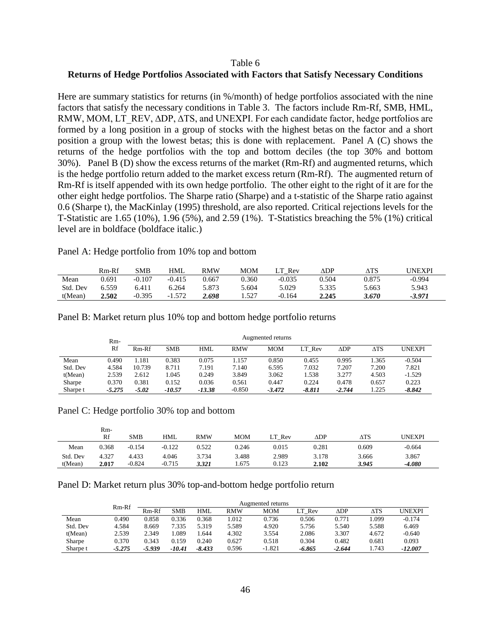## Table 6 **Returns of Hedge Portfolios Associated with Factors that Satisfy Necessary Conditions**

Here are summary statistics for returns (in %/month) of hedge portfolios associated with the nine factors that satisfy the necessary conditions in Table 3. The factors include Rm-Rf, SMB, HML, RMW, MOM, LT\_REV, ∆DP, ∆TS, and UNEXPI. For each candidate factor, hedge portfolios are formed by a long position in a group of stocks with the highest betas on the factor and a short position a group with the lowest betas; this is done with replacement. Panel A (C) shows the returns of the hedge portfolios with the top and bottom deciles (the top 30% and bottom 30%). Panel B (D) show the excess returns of the market (Rm-Rf) and augmented returns, which is the hedge portfolio return added to the market excess return (Rm-Rf). The augmented return of Rm-Rf is itself appended with its own hedge portfolio. The other eight to the right of it are for the other eight hedge portfolios. The Sharpe ratio (Sharpe) and a t-statistic of the Sharpe ratio against 0.6 (Sharpe t), the MacKinlay (1995) threshold, are also reported. Critical rejections levels for the T-Statistic are 1.65 (10%), 1.96 (5%), and 2.59 (1%). T-Statistics breaching the 5% (1%) critical level are in boldface (boldface italic.)

Panel A: Hedge portfolio from 10% top and bottom

|          | Rm-Rf | SMB      | HML         | <b>RMW</b> | MOM   | Rev      | ∆DP   | $\Delta\mathrm{TS}$ | UNEXPI   |
|----------|-------|----------|-------------|------------|-------|----------|-------|---------------------|----------|
| Mean     | 0.691 | $-0.107$ | $-0.415$    | 0.667      | 0.360 | $-0.035$ | 0.504 | 0.875               | $-0.994$ |
| Std. Dev | 6.559 | 6.411    | 6.264       | 5.873      | 5.604 | 5.029    | 5.335 | 5.663               | 5.943    |
| t(Mean)  | 2.502 | $-0.395$ | .572<br>- 1 | 2.698      | 1.527 | $-0.164$ | 2.245 | 3.670               | $-3.971$ |

|  |  |  |  |  |  |  |  |  |  | Panel B: Market return plus 10% top and bottom hedge portfolio returns |  |
|--|--|--|--|--|--|--|--|--|--|------------------------------------------------------------------------|--|
|--|--|--|--|--|--|--|--|--|--|------------------------------------------------------------------------|--|

|          | $Rm-$    |         |            |          |            | Augmented returns |          |                |                     |               |
|----------|----------|---------|------------|----------|------------|-------------------|----------|----------------|---------------------|---------------|
|          | Rf       | $Rm-Rf$ | <b>SMB</b> | HML      | <b>RMW</b> | <b>MOM</b>        | LT Rev   | $\triangle DP$ | $\Delta\mathrm{TS}$ | <b>UNEXPI</b> |
| Mean     | 0.490    | .181    | 0.383      | 0.075    | 1.157      | 0.850             | 0.455    | 0.995          | .365                | $-0.504$      |
| Std. Dev | 4.584    | 10.739  | 8.711      | 7.191    | 7.140      | 6.595             | 7.032    | 7.207          | 7.200               | 7.821         |
| t(Mean)  | 2.539    | 2.612   | 1.045      | 0.249    | 3.849      | 3.062             | 1.538    | 3.277          | 4.503               | $-1.529$      |
| Sharpe   | 0.370    | 0.381   | 0.152      | 0.036    | 0.561      | 0.447             | 0.224    | 0.478          | 0.657               | 0.223         |
| Sharpe t | $-5.275$ | $-5.02$ | $-10.57$   | $-13.38$ | $-0.850$   | $-3.472$          | $-8.811$ | $-2.744$       | 1.225               | $-8.842$      |

Panel C: Hedge portfolio 30% top and bottom

|          | Rm-<br>Rf | SMB      | <b>HML</b> | RMW   | MOM   | LТ<br>Rev | $\triangle DP$ | $\Delta \mathrm{TS}$ | JNEXPI   |
|----------|-----------|----------|------------|-------|-------|-----------|----------------|----------------------|----------|
| Mean     | 0.368     | $-0.154$ | $-0.122$   | 0.522 | 0.246 | 0.015     | 0.281          | 0.609                | $-0.664$ |
| Std. Dev | 4.327     | 4.433    | 4.046      | 3.734 | 3.488 | 2.989     | 3.178          | 3.666                | 3.867    |
| t(Mean)  | 2.017     | $-0.824$ | $-0.715$   | 3.321 | . 675 | 0.123     | 2.102          | 3.945                | $-4.080$ |

Panel D: Market return plus 30% top-and-bottom hedge portfolio return

|          | Rm-Rf    |          | Augmented returns |            |            |          |        |                    |                     |           |
|----------|----------|----------|-------------------|------------|------------|----------|--------|--------------------|---------------------|-----------|
|          |          | Rm-Rf    | SMB               | <b>HML</b> | <b>RMW</b> | MOM      | LT Rev | $\Delta \text{DP}$ | $\Delta\mathrm{TS}$ | UNEXPI    |
| Mean     | 0.490    | 0.858    | 0.336             | 0.368      | .012       | 0.736    | 0.506  | 0.771              | .099                | $-0.174$  |
| Std. Dev | 4.584    | 8.669    | 7.335             | 5.319      | 5.589      | 4.920    | 5.756  | 5.540              | 5.588               | 6.469     |
| t(Mean)  | 2.539    | 2.349    | .089              | .644       | 4.302      | 3.554    | 2.086  | 3.307              | 4.672               | $-0.640$  |
| Sharpe   | 0.370    | 0.343    | 0.159             | 0.240      | 0.627      | 0.518    | 0.304  | 0.482              | 0.681               | 0.093     |
| Sharpe t | $-5.275$ | $-5.939$ | -10.41            | $-8.433$   | 0.596      | $-1.821$ | -6.865 | $-2.644$           | 1.743               | $-12.007$ |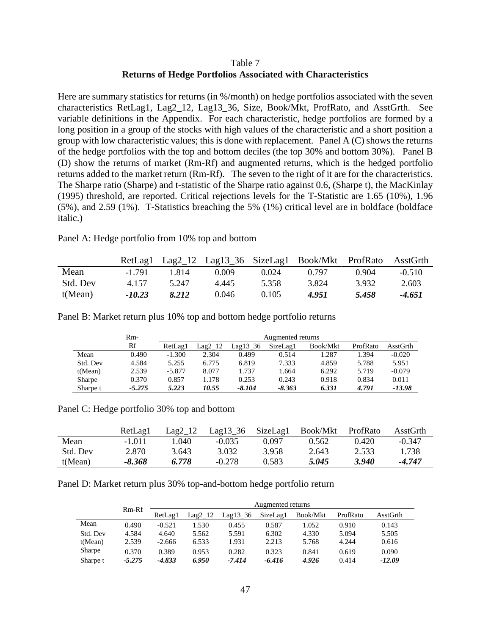## Table 7 **Returns of Hedge Portfolios Associated with Characteristics**

Here are summary statistics for returns (in %/month) on hedge portfolios associated with the seven characteristics RetLag1, Lag2\_12, Lag13\_36, Size, Book/Mkt, ProfRato, and AsstGrth. See variable definitions in the Appendix. For each characteristic, hedge portfolios are formed by a long position in a group of the stocks with high values of the characteristic and a short position a group with low characteristic values; this is done with replacement. Panel A (C) shows the returns of the hedge portfolios with the top and bottom deciles (the top 30% and bottom 30%). Panel B (D) show the returns of market (Rm-Rf) and augmented returns, which is the hedged portfolio returns added to the market return (Rm-Rf). The seven to the right of it are for the characteristics. The Sharpe ratio (Sharpe) and t-statistic of the Sharpe ratio against 0.6, (Sharpe t), the MacKinlay (1995) threshold, are reported. Critical rejections levels for the T-Statistic are 1.65 (10%), 1.96 (5%), and 2.59 (1%). T-Statistics breaching the 5% (1%) critical level are in boldface (boldface italic.)

Panel A: Hedge portfolio from 10% top and bottom

|          | RetLagl  |       |       |       | Lag2_12 Lag13_36 SizeLag1 Book/Mkt ProfRato |       | AsstGrth |
|----------|----------|-------|-------|-------|---------------------------------------------|-------|----------|
| Mean     | $-1.791$ | 1.814 | 0.009 | 0.024 | 0.797                                       | 0.904 | $-0.510$ |
| Std. Dev | 4.157    | 5.247 | 4.445 | 5.358 | 3.824                                       | 3.932 | 2.603    |
| t(Mean)  | $-10.23$ | 8.212 | 0.046 | 0.105 | 4.951                                       | 5.458 | $-4.651$ |

|          | $Rm-$    | Augmented returns |           |            |          |          |          |          |  |
|----------|----------|-------------------|-----------|------------|----------|----------|----------|----------|--|
|          | Rf       | RetLag1           | $Lag2_12$ | $Lag13$ 36 | SizeLag1 | Book/Mkt | ProfRato | AsstGrth |  |
| Mean     | 0.490    | $-1.300$          | 2.304     | 0.499      | 0.514    | 1.287    | 1.394    | $-0.020$ |  |
| Std. Dev | 4.584    | 5.255             | 6.775     | 6.819      | 7.333    | 4.859    | 5.788    | 5.951    |  |
| t(Mean)  | 2.539    | $-5.877$          | 8.077     | 1.737      | 1.664    | 6.292    | 5.719    | $-0.079$ |  |
| Sharpe   | 0.370    | 0.857             | 1.178     | 0.253      | 0.243    | 0.918    | 0.834    | 0.011    |  |
| Sharpe t | $-5.275$ | 5.223             | 10.55     | $-8.104$   | $-8.363$ | 6.331    | 4.791    | $-13.98$ |  |

Panel B: Market return plus 10% top and bottom hedge portfolio returns

Panel C: Hedge portfolio 30% top and bottom

|          | RetLag1  | $Lag2_12$ | $Lag13_36$ | SizeLag1 | Book/Mkt | ProfRato | AsstGrth |
|----------|----------|-----------|------------|----------|----------|----------|----------|
| Mean     | $-1.011$ | .040      | $-0.035$   | 0.097    | 0.562    | 0.420    | $-0.347$ |
| Std. Dev | 2.870    | 3.643     | 3.032      | 3.958    | 2.643    | 2.533    | 1.738    |
| t(Mean)  | -8.368   | 6.778     | $-0.278$   | 0.583    | 5.045    | 3.940    | -4.747   |

Panel D: Market return plus 30% top-and-bottom hedge portfolio return

|          |          | Augmented returns |           |              |          |          |          |          |  |  |  |
|----------|----------|-------------------|-----------|--------------|----------|----------|----------|----------|--|--|--|
|          | $Rm-Rf$  | RetLag1           | $Lag2_12$ | Lag $13\,36$ | SizeLag1 | Book/Mkt | ProfRato | AsstGrth |  |  |  |
| Mean     | 0.490    | $-0.521$          | 1.530     | 0.455        | 0.587    | 1.052    | 0.910    | 0.143    |  |  |  |
| Std. Dev | 4.584    | 4.640             | 5.562     | 5.591        | 6.302    | 4.330    | 5.094    | 5.505    |  |  |  |
| t(Mean)  | 2.539    | $-2.666$          | 6.533     | 1.931        | 2.213    | 5.768    | 4.244    | 0.616    |  |  |  |
| Sharpe   | 0.370    | 0.389             | 0.953     | 0.282        | 0.323    | 0.841    | 0.619    | 0.090    |  |  |  |
| Sharpe t | $-5.275$ | $-4.833$          | 6.950     | $-7.414$     | $-6.416$ | 4.926    | 0.414    | $-12.09$ |  |  |  |